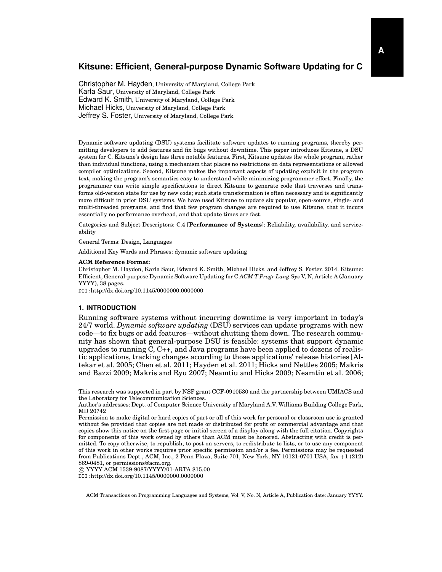# **Kitsune: Efficient, General-purpose Dynamic Software Updating for C**

Christopher M. Hayden, University of Maryland, College Park Karla Saur, University of Maryland, College Park Edward K. Smith, University of Maryland, College Park Michael Hicks, University of Maryland, College Park Jeffrey S. Foster, University of Maryland, College Park

Dynamic software updating (DSU) systems facilitate software updates to running programs, thereby permitting developers to add features and fix bugs without downtime. This paper introduces Kitsune, a DSU system for C. Kitsune's design has three notable features. First, Kitsune updates the whole program, rather than individual functions, using a mechanism that places no restrictions on data representations or allowed compiler optimizations. Second, Kitsune makes the important aspects of updating explicit in the program text, making the program's semantics easy to understand while minimizing programmer effort. Finally, the programmer can write simple specifications to direct Kitsune to generate code that traverses and transforms old-version state for use by new code; such state transformation is often necessary and is significantly more difficult in prior DSU systems. We have used Kitsune to update six popular, open-source, single- and multi-threaded programs, and find that few program changes are required to use Kitsune, that it incurs essentially no performance overhead, and that update times are fast.

Categories and Subject Descriptors: C.4 [**Performance of Systems**]: Reliability, availability, and serviceability

General Terms: Design, Languages

Additional Key Words and Phrases: dynamic software updating

#### **ACM Reference Format:**

Christopher M. Hayden, Karla Saur, Edward K. Smith, Michael Hicks, and Jeffrey S. Foster. 2014. Kitsune: Efficient, General-purpose Dynamic Software Updating for C *ACM T Progr Lang Sys* V, N, Article A (January YYYY), 38 pages.

DOI:http://dx.doi.org/10.1145/0000000.0000000

## **1. INTRODUCTION**

Running software systems without incurring downtime is very important in today's 24/7 world. *Dynamic software updating* (DSU) services can update programs with new code—to fix bugs or add features—without shutting them down. The research community has shown that general-purpose DSU is feasible: systems that support dynamic upgrades to running C, C++, and Java programs have been applied to dozens of realistic applications, tracking changes according to those applications' release histories [Altekar et al. 2005; Chen et al. 2011; Hayden et al. 2011; Hicks and Nettles 2005; Makris and Bazzi 2009; Makris and Ryu 2007; Neamtiu and Hicks 2009; Neamtiu et al. 2006;

 c YYYY ACM 1539-9087/YYYY/01-ARTA \$15.00 DOI:http://dx.doi.org/10.1145/0000000.0000000

This research was supported in part by NSF grant CCF-0910530 and the partnership between UMIACS and the Laboratory for Telecommunication Sciences.

Author's addresses: Dept. of Computer Science University of Maryland A.V. Williams Building College Park, MD 20742

Permission to make digital or hard copies of part or all of this work for personal or classroom use is granted without fee provided that copies are not made or distributed for profit or commercial advantage and that copies show this notice on the first page or initial screen of a display along with the full citation. Copyrights for components of this work owned by others than ACM must be honored. Abstracting with credit is permitted. To copy otherwise, to republish, to post on servers, to redistribute to lists, or to use any component of this work in other works requires prior specific permission and/or a fee. Permissions may be requested from Publications Dept., ACM, Inc., 2 Penn Plaza, Suite 701, New York, NY 10121-0701 USA, fax +1 (212) 869-0481, or permissions@acm.org.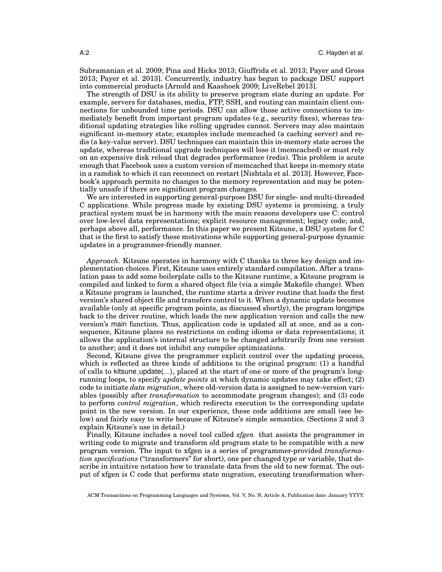Subramanian et al. 2009; Pina and Hicks 2013; Giuffrida et al. 2013; Payer and Gross 2013; Payer et al. 2013]. Concurrently, industry has begun to package DSU support into commercial products [Arnold and Kaashoek 2009; LiveRebel 2013].

The strength of DSU is its ability to preserve program state during an update. For example, servers for databases, media, FTP, SSH, and routing can maintain client connections for unbounded time periods. DSU can allow those active connections to immediately benefit from important program updates (e.g., security fixes), whereas traditional updating strategies like rolling upgrades cannot. Servers may also maintain significant in-memory state; examples include memcached (a caching server) and redis (a key-value server). DSU techniques can maintain this in-memory state across the update, whereas traditional upgrade techniques will lose it (memcached) or must rely on an expensive disk reload that degrades performance (redis). This problem is acute enough that Facebook uses a custom version of memcached that keeps in-memory state in a ramdisk to which it can reconnect on restart [Nishtala et al. 2013]. However, Facebook's approach permits no changes to the memory representation and may be potentially unsafe if there are significant program changes.

We are interested in supporting general-purpose DSU for single- and multi-threaded C applications. While progress made by existing DSU systems is promising, a truly practical system must be in harmony with the main reasons developers use C: control over low-level data representations; explicit resource management; legacy code; and, perhaps above all, performance. In this paper we present Kitsune, a DSU system for C that is the first to satisfy these motivations while supporting general-purpose dynamic updates in a programmer-friendly manner.

*Approach.* Kitsune operates in harmony with C thanks to three key design and implementation choices. First, Kitsune uses entirely standard compilation. After a translation pass to add some boilerplate calls to the Kitsune runtime, a Kitsune program is compiled and linked to form a shared object file (via a simple Makefile change). When a Kitsune program is launched, the runtime starts a driver routine that loads the first version's shared object file and transfers control to it. When a dynamic update becomes available (only at specific program points, as discussed shortly), the program longjmps back to the driver routine, which loads the new application version and calls the new version's main function. Thus, application code is updated all at once, and as a consequence, Kitsune places no restrictions on coding idioms or data representations; it allows the application's internal structure to be changed arbitrarily from one version to another; and it does not inhibit any compiler optimizations.

Second, Kitsune gives the programmer explicit control over the updating process, which is reflected as three kinds of additions to the original program: (1) a handful of calls to kitsune update(*...*), placed at the start of one or more of the program's longrunning loops, to specify *update points* at which dynamic updates may take effect; (2) code to initiate *data migration*, where old-version data is assigned to new-version variables (possibly after *transformation* to accommodate program changes); and (3) code to perform *control migration*, which redirects execution to the corresponding update point in the new version. In our experience, these code additions are small (see below) and fairly easy to write because of Kitsune's simple semantics. (Sections 2 and 3 explain Kitsune's use in detail.)

Finally, Kitsune includes a novel tool called *xfgen* that assists the programmer in writing code to migrate and transform old program state to be compatible with a new program version. The input to xfgen is a series of programmer-provided *transformation specifications* ("transformers" for short), one per changed type or variable, that describe in intuitive notation how to translate data from the old to new format. The output of xfgen is C code that performs state migration, executing transformation wher-

ACM Transactions on Programming Languages and Systems, Vol. V, No. N, Article A, Publication date: January YYYY.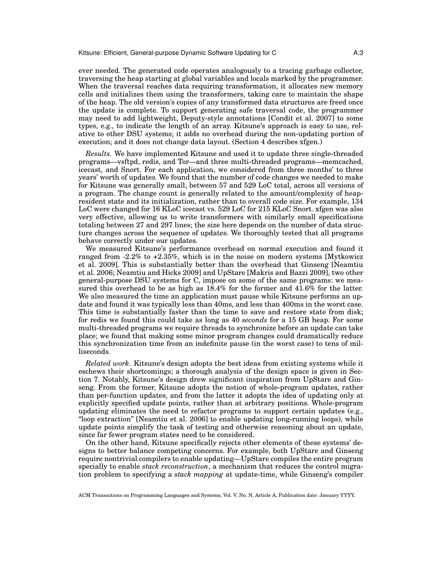ever needed. The generated code operates analogously to a tracing garbage collector, traversing the heap starting at global variables and locals marked by the programmer. When the traversal reaches data requiring transformation, it allocates new memory cells and initializes them using the transformers, taking care to maintain the shape of the heap. The old version's copies of any transformed data structures are freed once the update is complete. To support generating safe traversal code, the programmer may need to add lightweight, Deputy-style annotations [Condit et al. 2007] to some types, e.g., to indicate the length of an array. Kitsune's approach is easy to use, relative to other DSU systems; it adds no overhead during the non-updating portion of execution; and it does not change data layout. (Section 4 describes xfgen.)

*Results.* We have implemented Kitsune and used it to update three single-threaded programs—vsftpd, redis, and Tor—and three multi-threaded programs—memcached, icecast, and Snort. For each application, we considered from three months' to three years' worth of updates. We found that the number of code changes we needed to make for Kitsune was generally small, between 57 and 529 LoC total, across all versions of a program. The change count is generally related to the amount/complexity of heapresident state and its initialization, rather than to overall code size. For example, 134 LoC were changed for 16 KLoC icecast vs. 529 LoC for 215 KLoC Snort. xfgen was also very effective, allowing us to write transformers with similarly small specifications totaling between 27 and 297 lines; the size here depends on the number of data structure changes across the sequence of updates. We thoroughly tested that all programs behave correctly under our updates.

We measured Kitsune's performance overhead on normal execution and found it ranged from -2.2% to +2.35%, which is in the noise on modern systems [Mytkowicz et al. 2009]. This is substantially better than the overhead that Ginseng [Neamtiu et al. 2006; Neamtiu and Hicks 2009] and UpStare [Makris and Bazzi 2009], two other general-purpose DSU systems for C, impose on some of the same programs: we measured this overhead to be as high as 18.4% for the former and 41.6% for the latter. We also measured the time an application must pause while Kitsune performs an update and found it was typically less than 40ms, and less than 400ms in the worst case. This time is substantially faster than the time to save and restore state from disk; for redis we found this could take as long as 40 *seconds* for a 15 GB heap. For some multi-threaded programs we require threads to synchronize before an update can take place; we found that making some minor program changes could dramatically reduce this synchronization time from an indefinite pause (in the worst case) to tens of milliseconds.

*Related work.* Kitsune's design adopts the best ideas from existing systems while it eschews their shortcomings; a thorough analysis of the design space is given in Section 7. Notably, Kitsune's design drew significant inspiration from UpStare and Ginseng. From the former, Kitsune adopts the notion of whole-program updates, rather than per-function updates, and from the latter it adopts the idea of updating only at explicitly specified update points, rather than at arbitrary positions. Whole-program updating eliminates the need to refactor programs to support certain updates (e.g., "loop extraction" [Neamtiu et al. 2006] to enable updating long-running loops), while update points simplify the task of testing and otherwise reasoning about an update, since far fewer program states need to be considered.

On the other hand, Kitsune specifically rejects other elements of these systems' designs to better balance competing concerns. For example, both UpStare and Ginseng require nontrivial compilers to enable updating—UpStare compiles the entire program specially to enable *stack reconstruction*, a mechanism that reduces the control migration problem to specifying a *stack mapping* at update-time, while Ginseng's compiler

ACM Transactions on Programming Languages and Systems, Vol. V, No. N, Article A, Publication date: January YYYY.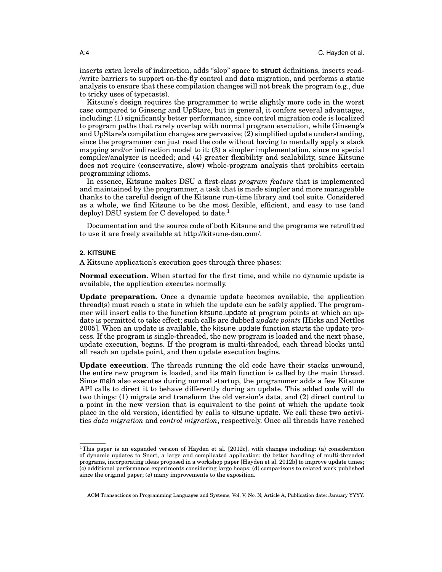inserts extra levels of indirection, adds "slop" space to **struct** definitions, inserts read- /write barriers to support on-the-fly control and data migration, and performs a static analysis to ensure that these compilation changes will not break the program (e.g., due to tricky uses of typecasts).

Kitsune's design requires the programmer to write slightly more code in the worst case compared to Ginseng and UpStare, but in general, it confers several advantages, including: (1) significantly better performance, since control migration code is localized to program paths that rarely overlap with normal program execution, while Ginseng's and UpStare's compilation changes are pervasive; (2) simplified update understanding, since the programmer can just read the code without having to mentally apply a stack mapping and/or indirection model to it; (3) a simpler implementation, since no special compiler/analyzer is needed; and (4) greater flexibility and scalability, since Kitsune does not require (conservative, slow) whole-program analysis that prohibits certain programming idioms.

In essence, Kitsune makes DSU a first-class *program feature* that is implemented and maintained by the programmer, a task that is made simpler and more manageable thanks to the careful design of the Kitsune run-time library and tool suite. Considered as a whole, we find Kitsune to be the most flexible, efficient, and easy to use (and deploy) DSU system for C developed to date.<sup>1</sup>

Documentation and the source code of both Kitsune and the programs we retrofitted to use it are freely available at http://kitsune-dsu.com/.

## **2. KITSUNE**

A Kitsune application's execution goes through three phases:

**Normal execution**. When started for the first time, and while no dynamic update is available, the application executes normally.

**Update preparation.** Once a dynamic update becomes available, the application thread(s) must reach a state in which the update can be safely applied. The programmer will insert calls to the function kitsune update at program points at which an update is permitted to take effect; such calls are dubbed *update points* [Hicks and Nettles 2005]. When an update is available, the kitsune update function starts the update process. If the program is single-threaded, the new program is loaded and the next phase, update execution, begins. If the program is multi-threaded, each thread blocks until all reach an update point, and then update execution begins.

**Update execution**. The threads running the old code have their stacks unwound, the entire new program is loaded, and its main function is called by the main thread. Since main also executes during normal startup, the programmer adds a few Kitsune API calls to direct it to behave differently during an update. This added code will do two things: (1) migrate and transform the old version's data, and (2) direct control to a point in the new version that is equivalent to the point at which the update took place in the old version, identified by calls to kitsune update. We call these two activities *data migration* and *control migration*, respectively. Once all threads have reached

<sup>&</sup>lt;sup>1</sup>This paper is an expanded version of Hayden et al. [2012c], with changes including: (a) consideration of dynamic updates to Snort, a large and complicated application; (b) better handling of multi-threaded programs, incorporating ideas proposed in a workshop paper [Hayden et al. 2012b] to improve update times; (c) additional performance experiments considering large heaps; (d) comparisons to related work published since the original paper; (e) many improvements to the exposition.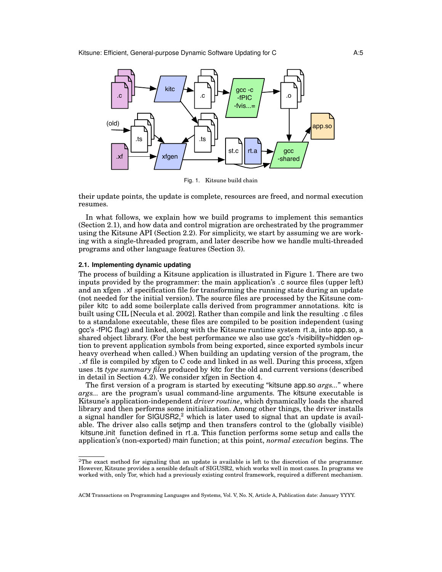

Fig. 1. Kitsune build chain

their update points, the update is complete, resources are freed, and normal execution resumes.

In what follows, we explain how we build programs to implement this semantics (Section 2.1), and how data and control migration are orchestrated by the programmer using the Kitsune API (Section 2.2). For simplicity, we start by assuming we are working with a single-threaded program, and later describe how we handle multi-threaded programs and other language features (Section 3).

### **2.1. Implementing dynamic updating**

The process of building a Kitsune application is illustrated in Figure 1. There are two inputs provided by the programmer: the main application's .c source files (upper left) and an xfgen . xf specification file for transforming the running state during an update (not needed for the initial version). The source files are processed by the Kitsune compiler kitc to add some boilerplate calls derived from programmer annotations. kitc is built using CIL [Necula et al. 2002]. Rather than compile and link the resulting .c files to a standalone executable, these files are compiled to be position independent (using gcc's -fPIC flag) and linked, along with the Kitsune runtime system rt.a, into app.so, a shared object library. (For the best performance we also use gcc's -fvisibility=hidden option to prevent application symbols from being exported, since exported symbols incur heavy overhead when called.) When building an updating version of the program, the . xf file is compiled by xfgen to C code and linked in as well. During this process, xfgen uses .ts *type summary files* produced by kitc for the old and current versions (described in detail in Section 4.2). We consider xfgen in Section 4.

The first version of a program is started by executing "kitsune app.so *args...*" where *args...* are the program's usual command-line arguments. The kitsune executable is Kitsune's application-independent *driver routine*, which dynamically loads the shared library and then performs some initialization. Among other things, the driver installs a signal handler for SIGUSR2, <sup>2</sup> which is later used to signal that an update is available. The driver also calls setjmp and then transfers control to the (globally visible) kitsune init function defined in rt.a. This function performs some setup and calls the application's (non-exported) main function; at this point, *normal execution* begins. The

 $2$ The exact method for signaling that an update is available is left to the discretion of the programmer. However, Kitsune provides a sensible default of SIGUSR2, which works well in most cases. In programs we worked with, only Tor, which had a previously existing control framework, required a different mechanism.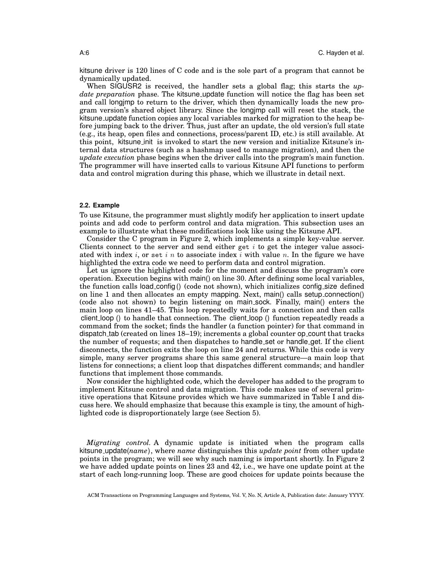kitsune driver is 120 lines of C code and is the sole part of a program that cannot be dynamically updated.

When SIGUSR2 is received, the handler sets a global flag; this starts the *update preparation* phase. The kitsune update function will notice the flag has been set and call longjmp to return to the driver, which then dynamically loads the new program version's shared object library. Since the longjmp call will reset the stack, the kitsune update function copies any local variables marked for migration to the heap before jumping back to the driver. Thus, just after an update, the old version's full state (e.g., its heap, open files and connections, process/parent ID, etc.) is still available. At this point, kitsune init is invoked to start the new version and initialize Kitsune's internal data structures (such as a hashmap used to manage migration), and then the *update execution* phase begins when the driver calls into the program's main function. The programmer will have inserted calls to various Kitsune API functions to perform data and control migration during this phase, which we illustrate in detail next.

#### **2.2. Example**

To use Kitsune, the programmer must slightly modify her application to insert update points and add code to perform control and data migration. This subsection uses an example to illustrate what these modifications look like using the Kitsune API.

Consider the C program in Figure 2, which implements a simple key-value server. Clients connect to the server and send either get  $i$  to get the integer value associated with index i, or set i n to associate index i with value n. In the figure we have highlighted the extra code we need to perform data and control migration.

Let us ignore the highlighted code for the moment and discuss the program's core operation. Execution begins with main() on line 30. After defining some local variables, the function calls load config () (code not shown), which initializes config size defined on line 1 and then allocates an empty mapping. Next, main() calls setup connection() (code also not shown) to begin listening on main sock. Finally, main() enters the main loop on lines 41–45. This loop repeatedly waits for a connection and then calls client loop () to handle that connection. The client loop () function repeatedly reads a command from the socket; finds the handler (a function pointer) for that command in dispatch tab (created on lines 18–19); increments a global counter op count that tracks the number of requests; and then dispatches to handle set or handle get. If the client disconnects, the function exits the loop on line 24 and returns. While this code is very simple, many server programs share this same general structure—a main loop that listens for connections; a client loop that dispatches different commands; and handler functions that implement those commands.

Now consider the highlighted code, which the developer has added to the program to implement Kitsune control and data migration. This code makes use of several primitive operations that Kitsune provides which we have summarized in Table I and discuss here. We should emphasize that because this example is tiny, the amount of highlighted code is disproportionately large (see Section 5).

*Migrating control.* A dynamic update is initiated when the program calls kitsune update(*name*), where *name* distinguishes this *update point* from other update points in the program; we will see why such naming is important shortly. In Figure 2 we have added update points on lines 23 and 42, i.e., we have one update point at the start of each long-running loop. These are good choices for update points because the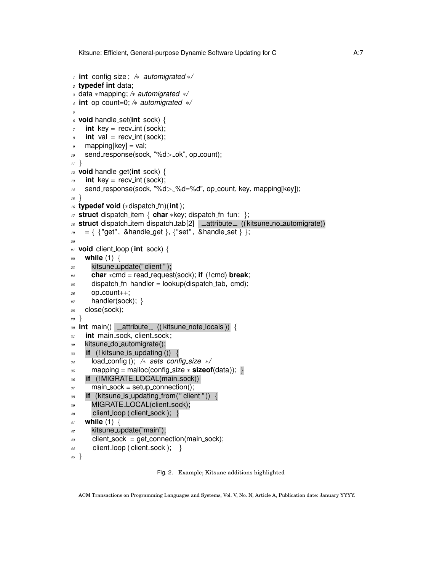Kitsune: Efficient, General-purpose Dynamic Software Updating for C A:7

```
1 int config size ; /∗ automigrated ∗/
2 typedef int data;
3 data ∗mapping; /∗ automigrated ∗/
4 int op count=0; /∗ automigrated ∗/
5
6 void handle set(int sock) {
    int key = recv_int (sock);
    int val = rev\_int (sock);9 mapping[key] = val;
10 send_response(sock, "%d> _ok", op_count);
11 }
12 void handle get(int sock) {
13 int key = recv_int (sock);
14 send_response(sock, "%d> %d=%d", op_count, key, mapping[key]);
15 }
16 typedef void (∗dispatch_fn)(int);
17 struct dispatch_item { char ∗key; dispatch_fn fun; };
18 struct dispatch_item dispatch_tab<sup>[2]</sup> __attribute__ ((kitsune_no_automigrate))
19 = \{ \{ \text{''get''}, \text{8} \text{handle.get} \}, \{ \text{``set''}, \text{8} \text{handle_set} \} \};20
21 void client loop (int sock) {
22 while (1) {
23 kitsune update(" client " );
24 char *cmd = read_request(sock); if (!cmd) break;
25 dispatch fn handler = lookup(dispatch tab, cmd);
26 op count++;
27 handler(sock); }
28 close(sock);
29 }
\omega int main() __attribute__ (( kitsune_note_locals )) {
31 int main sock, client sock;
32 kitsune do automigrate();
33 if (! kitsune is updating ()) {
34 load config (); /∗ sets config size ∗/
35 mapping = malloc(config size ∗ sizeof(data)); }
36 if (! MIGRATE LOCAL(main sock))
37 main_sock = setup_connection();
38 if (kitsune is updating from( " client " )) {
39 MIGRATE_LOCAL(client_sock);
40 client loop ( client sock ); }
41 while (1) {
42 kitsune update("main");
43 client sock = get connection(main sock);
44 client loop ( client sock ); }
45 }
```
Fig. 2. Example; Kitsune additions highlighted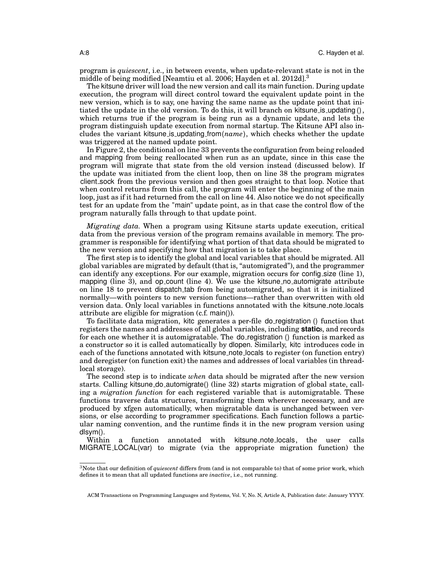program is *quiescent*, i.e., in between events, when update-relevant state is not in the middle of being modified [Neamtiu et al. 2006; Hayden et al. 2012d].<sup>3</sup>

The kitsune driver will load the new version and call its main function. During update execution, the program will direct control toward the equivalent update point in the new version, which is to say, one having the same name as the update point that initiated the update in the old version. To do this, it will branch on kitsune  $is\_update$ ,  $()$ , which returns true if the program is being run as a dynamic update, and lets the program distinguish update execution from normal startup. The Kitsune API also includes the variant kitsune is updating from(*name*), which checks whether the update was triggered at the named update point.

In Figure 2, the conditional on line 33 prevents the configuration from being reloaded and mapping from being reallocated when run as an update, since in this case the program will migrate that state from the old version instead (discussed below). If the update was initiated from the client loop, then on line 38 the program migrates client sock from the previous version and then goes straight to that loop. Notice that when control returns from this call, the program will enter the beginning of the main loop, just as if it had returned from the call on line 44. Also notice we do not specifically test for an update from the "main" update point, as in that case the control flow of the program naturally falls through to that update point.

*Migrating data.* When a program using Kitsune starts update execution, critical data from the previous version of the program remains available in memory. The programmer is responsible for identifying what portion of that data should be migrated to the new version and specifying how that migration is to take place.

The first step is to identify the global and local variables that should be migrated. All global variables are migrated by default (that is, "automigrated"), and the programmer can identify any exceptions. For our example, migration occurs for config size (line 1), mapping (line  $3$ ), and op count (line  $4$ ). We use the kitsune no automigrate attribute on line 18 to prevent dispatch tab from being automigrated, so that it is initialized normally—with pointers to new version functions—rather than overwritten with old version data. Only local variables in functions annotated with the kitsune note locals attribute are eligible for migration (c.f. main()).

To facilitate data migration, kitc generates a per-file do registration () function that registers the names and addresses of all global variables, including **static**s, and records for each one whether it is automigratable. The do registration () function is marked as a constructor so it is called automatically by dlopen. Similarly, kitc introduces code in each of the functions annotated with kitsune note locals to register (on function entry) and deregister (on function exit) the names and addresses of local variables (in threadlocal storage).

The second step is to indicate *when* data should be migrated after the new version starts. Calling kitsune do automigrate() (line 32) starts migration of global state, calling a *migration function* for each registered variable that is automigratable. These functions traverse data structures, transforming them wherever necessary, and are produced by xfgen automatically, when migratable data is unchanged between versions, or else according to programmer specifications. Each function follows a particular naming convention, and the runtime finds it in the new program version using dlsym().

Within a function annotated with kitsune note locals, the user calls MIGRATE LOCAL(var) to migrate (via the appropriate migration function) the

<sup>3</sup>Note that our definition of *quiescent* differs from (and is not comparable to) that of some prior work, which defines it to mean that all updated functions are *inactive*, i.e., not running.

ACM Transactions on Programming Languages and Systems, Vol. V, No. N, Article A, Publication date: January YYYY.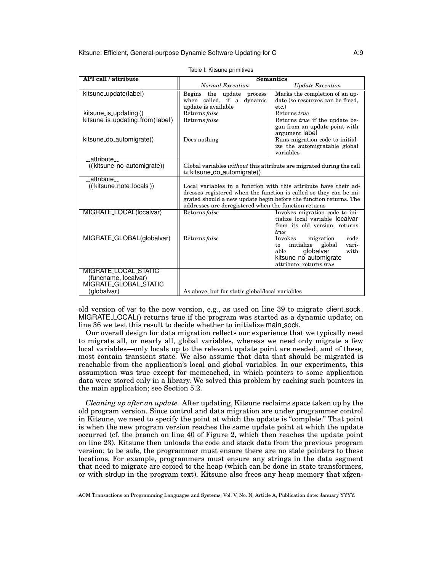| API call / attribute                                                                 | <b>Semantics</b>                                                                                                                                                                                                                                                   |                                                                                                                                                         |  |  |  |  |
|--------------------------------------------------------------------------------------|--------------------------------------------------------------------------------------------------------------------------------------------------------------------------------------------------------------------------------------------------------------------|---------------------------------------------------------------------------------------------------------------------------------------------------------|--|--|--|--|
|                                                                                      | Normal Execution                                                                                                                                                                                                                                                   | <b>Update Execution</b>                                                                                                                                 |  |  |  |  |
| kitsune_update(label)                                                                | Begins the update<br>process<br>when called, if a dynamic                                                                                                                                                                                                          | Marks the completion of an up-<br>date (so resources can be freed,                                                                                      |  |  |  |  |
| kitsune_is_updating()<br>kitsune_is_updating_from(label)<br>kitsune_do_automigrate() | update is available<br>Returns false<br>Returns false<br>Does nothing                                                                                                                                                                                              | $etc.$ )<br>Returns true<br>Returns <i>true</i> if the update be-<br>gan from an update point with<br>argument label<br>Runs migration code to initial- |  |  |  |  |
|                                                                                      |                                                                                                                                                                                                                                                                    | ize the automigratable global<br>variables                                                                                                              |  |  |  |  |
| __attribute__<br>((kitsune_no_automigrate))                                          | Global variables <i>without</i> this attribute are migrated during the call<br>to kitsune_do_automigrate()                                                                                                                                                         |                                                                                                                                                         |  |  |  |  |
| __attribute__<br>((kitsune_note_locals))                                             | Local variables in a function with this attribute have their ad-<br>dresses registered when the function is called so they can be mi-<br>grated should a new update begin before the function returns. The<br>addresses are deregistered when the function returns |                                                                                                                                                         |  |  |  |  |
| MIGRATE_LOCAL(localvar)                                                              | Returns false                                                                                                                                                                                                                                                      | Invokes migration code to ini-<br>tialize local variable localvar<br>from its old version; returns<br>true                                              |  |  |  |  |
| MIGRATE_GLOBAL(globalvar)                                                            | Returns false                                                                                                                                                                                                                                                      | Invokes<br>code<br>migration<br>initialize<br>global<br>vari-<br>to<br>globalvar<br>able<br>with<br>kitsune_no_automigrate<br>attribute; returns true   |  |  |  |  |
| MIGRATE LOCAL STATIC<br>(funcname, localvar)<br>MIGRATE_GLOBAL_STATIC<br>(globalvar) | As above, but for static global/local variables                                                                                                                                                                                                                    |                                                                                                                                                         |  |  |  |  |

Table I. Kitsune primitives

old version of var to the new version, e.g., as used on line 39 to migrate client sock. MIGRATE LOCAL() returns true if the program was started as a dynamic update; on line 36 we test this result to decide whether to initialize main sock.

Our overall design for data migration reflects our experience that we typically need to migrate all, or nearly all, global variables, whereas we need only migrate a few local variables—only locals up to the relevant update point are needed, and of these, most contain transient state. We also assume that data that should be migrated is reachable from the application's local and global variables. In our experiments, this assumption was true except for memcached, in which pointers to some application data were stored only in a library. We solved this problem by caching such pointers in the main application; see Section 5.2.

*Cleaning up after an update.* After updating, Kitsune reclaims space taken up by the old program version. Since control and data migration are under programmer control in Kitsune, we need to specify the point at which the update is "complete." That point is when the new program version reaches the same update point at which the update occurred (cf. the branch on line 40 of Figure 2, which then reaches the update point on line 23). Kitsune then unloads the code and stack data from the previous program version; to be safe, the programmer must ensure there are no stale pointers to these locations. For example, programmers must ensure any strings in the data segment that need to migrate are copied to the heap (which can be done in state transformers, or with strdup in the program text). Kitsune also frees any heap memory that xfgen-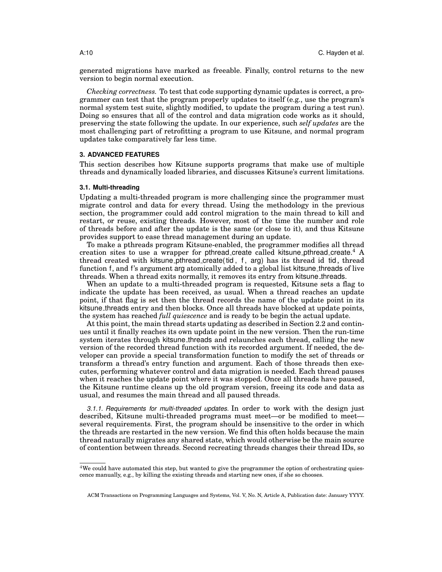generated migrations have marked as freeable. Finally, control returns to the new version to begin normal execution.

*Checking correctness.* To test that code supporting dynamic updates is correct, a programmer can test that the program properly updates to itself (e.g., use the program's normal system test suite, slightly modified, to update the program during a test run). Doing so ensures that all of the control and data migration code works as it should, preserving the state following the update. In our experience, such *self updates* are the most challenging part of retrofitting a program to use Kitsune, and normal program updates take comparatively far less time.

### **3. ADVANCED FEATURES**

This section describes how Kitsune supports programs that make use of multiple threads and dynamically loaded libraries, and discusses Kitsune's current limitations.

### **3.1. Multi-threading**

Updating a multi-threaded program is more challenging since the programmer must migrate control and data for every thread. Using the methodology in the previous section, the programmer could add control migration to the main thread to kill and restart, or reuse, existing threads. However, most of the time the number and role of threads before and after the update is the same (or close to it), and thus Kitsune provides support to ease thread management during an update.

To make a pthreads program Kitsune-enabled, the programmer modifies all thread creation sites to use a wrapper for pthread create called kitsune pthread create. <sup>4</sup> A thread created with kitsune pthread create(tid, f, arg) has its thread id tid, thread function f, and f's argument arg atomically added to a global list kitsune threads of live threads. When a thread exits normally, it removes its entry from kitsune threads.

When an update to a multi-threaded program is requested, Kitsune sets a flag to indicate the update has been received, as usual. When a thread reaches an update point, if that flag is set then the thread records the name of the update point in its kitsune threads entry and then blocks. Once all threads have blocked at update points, the system has reached *full quiescence* and is ready to be begin the actual update.

At this point, the main thread starts updating as described in Section 2.2 and continues until it finally reaches its own update point in the new version. Then the run-time system iterates through kitsune threads and relaunches each thread, calling the new version of the recorded thread function with its recorded argument. If needed, the developer can provide a special transformation function to modify the set of threads or transform a thread's entry function and argument. Each of those threads then executes, performing whatever control and data migration is needed. Each thread pauses when it reaches the update point where it was stopped. Once all threads have paused, the Kitsune runtime cleans up the old program version, freeing its code and data as usual, and resumes the main thread and all paused threads.

*3.1.1. Requirements for multi-threaded updates.* In order to work with the design just described, Kitsune multi-threaded programs must meet—or be modified to meet several requirements. First, the program should be insensitive to the order in which the threads are restarted in the new version. We find this often holds because the main thread naturally migrates any shared state, which would otherwise be the main source of contention between threads. Second recreating threads changes their thread IDs, so

<sup>&</sup>lt;sup>4</sup>We could have automated this step, but wanted to give the programmer the option of orchestrating quiescence manually, e.g., by killing the existing threads and starting new ones, if she so chooses.

ACM Transactions on Programming Languages and Systems, Vol. V, No. N, Article A, Publication date: January YYYY.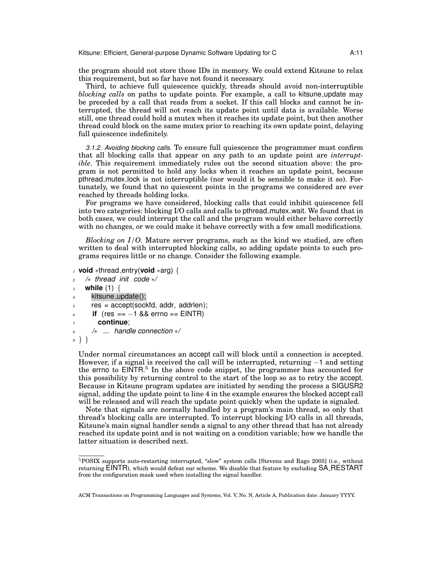the program should not store those IDs in memory. We could extend Kitsune to relax this requirement, but so far have not found it necessary.

Third, to achieve full quiescence quickly, threads should avoid non-interruptible *blocking calls* on paths to update points. For example, a call to kitsune update may be preceded by a call that reads from a socket. If this call blocks and cannot be interrupted, the thread will not reach its update point until data is available. Worse still, one thread could hold a mutex when it reaches its update point, but then another thread could block on the same mutex prior to reaching its own update point, delaying full quiescence indefinitely.

*3.1.2. Avoiding blocking calls.* To ensure full quiescence the programmer must confirm that all blocking calls that appear on any path to an update point are *interruptible*. This requirement immediately rules out the second situation above: the program is not permitted to hold any locks when it reaches an update point, because pthread mutex lock is not interruptible (nor would it be sensible to make it so). Fortunately, we found that no quiescent points in the programs we considered are ever reached by threads holding locks.

For programs we have considered, blocking calls that could inhibit quiescence fell into two categories: blocking I/O calls and calls to pthread mutex wait. We found that in both cases, we could interrupt the call and the program would either behave correctly with no changes, or we could make it behave correctly with a few small modifications.

*Blocking on I/O.* Mature server programs, such as the kind we studied, are often written to deal with interrupted blocking calls, so adding update points to such programs requires little or no change. Consider the following example.

```
1 void ∗thread entry(void ∗arg) {
```

```
2 /∗ thread init code ∗/
3 while (1) {
     4 kitsune update();
5 res = accept(sockfd, addr, addrlen);
     if (res == -1 && errno == EINTR)
7 continue;
8 /∗ ... handle connection ∗/
9 } }
```
Under normal circumstances an accept call will block until a connection is accepted. However, if a signal is received the call will be interrupted, returning −1 and setting the errno to EINTR. 5 In the above code snippet, the programmer has accounted for this possibility by returning control to the start of the loop so as to retry the accept. Because in Kitsune program updates are initiated by sending the process a SIGUSR2 signal, adding the update point to line 4 in the example ensures the blocked accept call will be released and will reach the update point quickly when the update is signaled.

Note that signals are normally handled by a program's main thread, so only that thread's blocking calls are interrupted. To interrupt blocking I/O calls in all threads, Kitsune's main signal handler sends a signal to any other thread that has not already reached its update point and is not waiting on a condition variable; how we handle the latter situation is described next.

<sup>5</sup>POSIX supports auto-restarting interrupted, "slow" system calls [Stevens and Rago 2005] (i.e., without returning EINTR), which would defeat our scheme. We disable that feature by excluding SA RESTART from the configuration mask used when installing the signal handler.

ACM Transactions on Programming Languages and Systems, Vol. V, No. N, Article A, Publication date: January YYYY.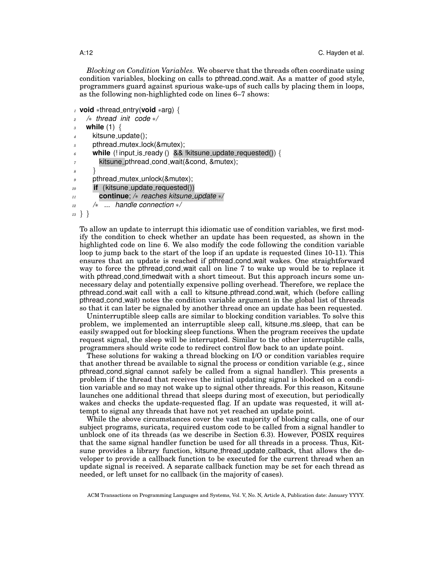*Blocking on Condition Variables.* We observe that the threads often coordinate using condition variables, blocking on calls to pthread cond wait. As a matter of good style, programmers guard against spurious wake-ups of such calls by placing them in loops, as the following non-highlighted code on lines 6–7 shows:

```
1 void ∗thread entry(void ∗arg) {
2 /∗ thread init code ∗/
    3 while (1) {
      4 kitsune update();
5 pthread mutex lock(&mutex);
6 while (! input is ready () && !kitsune update requested()) {
7 kitsune pthread cond wait(&cond, &mutex);
8 }
9 pthread_mutex_unlock(&mutex);
10 if (kitsune update requested())
11 continue; /∗ reaches kitsune update ∗/
12 /∗ ... handle connection ∗/
13 } }
```
To allow an update to interrupt this idiomatic use of condition variables, we first modify the condition to check whether an update has been requested, as shown in the highlighted code on line 6. We also modify the code following the condition variable loop to jump back to the start of the loop if an update is requested (lines 10-11). This ensures that an update is reached if pthread cond wait wakes. One straightforward way to force the pthread cond wait call on line 7 to wake up would be to replace it with pthread cond timedwait with a short timeout. But this approach incurs some unnecessary delay and potentially expensive polling overhead. Therefore, we replace the pthread cond wait call with a call to kitsune pthread cond wait, which (before calling pthread cond wait) notes the condition variable argument in the global list of threads so that it can later be signaled by another thread once an update has been requested.

Uninterruptible sleep calls are similar to blocking condition variables. To solve this problem, we implemented an interruptible sleep call, kitsune ms sleep, that can be easily swapped out for blocking sleep functions. When the program receives the update request signal, the sleep will be interrupted. Similar to the other interruptible calls, programmers should write code to redirect control flow back to an update point.

These solutions for waking a thread blocking on I/O or condition variables require that another thread be available to signal the process or condition variable (e.g., since pthread cond signal cannot safely be called from a signal handler). This presents a problem if the thread that receives the initial updating signal is blocked on a condition variable and so may not wake up to signal other threads. For this reason, Kitsune launches one additional thread that sleeps during most of execution, but periodically wakes and checks the update-requested flag. If an update was requested, it will attempt to signal any threads that have not yet reached an update point.

While the above circumstances cover the vast majority of blocking calls, one of our subject programs, suricata, required custom code to be called from a signal handler to unblock one of its threads (as we describe in Section 6.3). However, POSIX requires that the same signal handler function be used for all threads in a process. Thus, Kitsune provides a library function, kitsune thread update callback, that allows the developer to provide a callback function to be executed for the current thread when an update signal is received. A separate callback function may be set for each thread as needed, or left unset for no callback (in the majority of cases).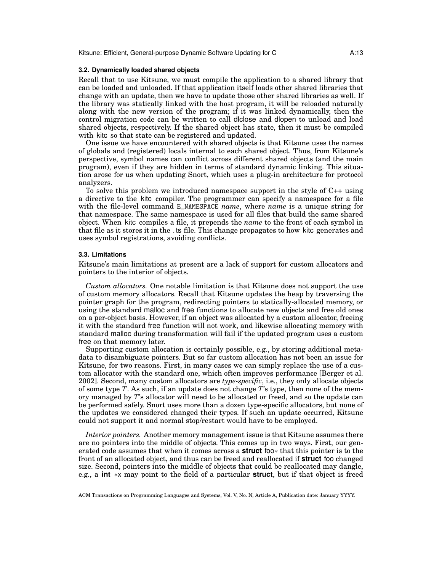### **3.2. Dynamically loaded shared objects**

Recall that to use Kitsune, we must compile the application to a shared library that can be loaded and unloaded. If that application itself loads other shared libraries that change with an update, then we have to update those other shared libraries as well. If the library was statically linked with the host program, it will be reloaded naturally along with the new version of the program; if it was linked dynamically, then the control migration code can be written to call dlclose and dlopen to unload and load shared objects, respectively. If the shared object has state, then it must be compiled with kitc so that state can be registered and updated.

One issue we have encountered with shared objects is that Kitsune uses the names of globals and (registered) locals internal to each shared object. Thus, from Kitsune's perspective, symbol names can conflict across different shared objects (and the main program), even if they are hidden in terms of standard dynamic linking. This situation arose for us when updating Snort, which uses a plug-in architecture for protocol analyzers.

To solve this problem we introduced namespace support in the style of C++ using a directive to the kitc compiler. The programmer can specify a namespace for a file with the file-level command E\_NAMESPACE *name*, where *name* is a unique string for that namespace. The same namespace is used for all files that build the same shared object. When kitc compiles a file, it prepends the *name* to the front of each symbol in that file as it stores it in the . ts file. This change propagates to how kitc generates and uses symbol registrations, avoiding conflicts.

### **3.3. Limitations**

Kitsune's main limitations at present are a lack of support for custom allocators and pointers to the interior of objects.

*Custom allocators.* One notable limitation is that Kitsune does not support the use of custom memory allocators. Recall that Kitsune updates the heap by traversing the pointer graph for the program, redirecting pointers to statically-allocated memory, or using the standard malloc and free functions to allocate new objects and free old ones on a per-object basis. However, if an object was allocated by a custom allocator, freeing it with the standard free function will not work, and likewise allocating memory with standard malloc during transformation will fail if the updated program uses a custom free on that memory later.

Supporting custom allocation is certainly possible, e.g., by storing additional metadata to disambiguate pointers. But so far custom allocation has not been an issue for Kitsune, for two reasons. First, in many cases we can simply replace the use of a custom allocator with the standard one, which often improves performance [Berger et al. 2002]. Second, many custom allocators are *type-specific*, i.e., they only allocate objects of some type  $T$ . As such, if an update does not change  $T$ 's type, then none of the memory managed by T's allocator will need to be allocated or freed, and so the update can be performed safely. Snort uses more than a dozen type-specific allocators, but none of the updates we considered changed their types. If such an update occurred, Kitsune could not support it and normal stop/restart would have to be employed.

*Interior pointers.* Another memory management issue is that Kitsune assumes there are no pointers into the middle of objects. This comes up in two ways. First, our generated code assumes that when it comes across a **struct** foo∗ that this pointer is to the front of an allocated object, and thus can be freed and reallocated if **struct** foo changed size. Second, pointers into the middle of objects that could be reallocated may dangle, e.g., a **int** ∗x may point to the field of a particular **struct**, but if that object is freed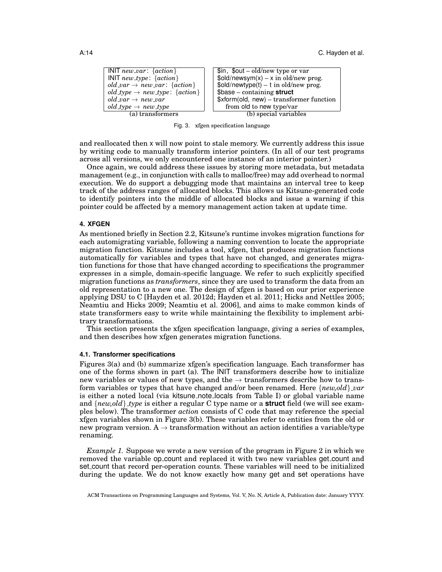| $INIT$ new_var: {action}                      | $\sin$ , $\text{Sout} - \text{old/new type}$ or var |
|-----------------------------------------------|-----------------------------------------------------|
| INIT new type: $\{action\}$                   | $\delta$ old/newsym(x) – x in old/new prog.         |
| old_var $\rightarrow$ new_var: {action}       | $\delta$ old/newtype(t) – t in old/new prog.        |
| $old\_type \rightarrow new\_type: \{action\}$ | $\text{Base} - \text{containing}$                   |
| $old\_var \rightarrow new\_var$               | $$xform(old, new) - transformer function$           |
| $old\_type \rightarrow new\_type$             | from old to new type/var                            |
| (a) transformers                              | (b) special variables                               |

Fig. 3. xfgen specification language

and reallocated then x will now point to stale memory. We currently address this issue by writing code to manually transform interior pointers. (In all of our test programs across all versions, we only encountered one instance of an interior pointer.)

Once again, we could address these issues by storing more metadata, but metadata management (e.g., in conjunction with calls to malloc/free) may add overhead to normal execution. We do support a debugging mode that maintains an interval tree to keep track of the address ranges of allocated blocks. This allows us Kitsune-generated code to identify pointers into the middle of allocated blocks and issue a warning if this pointer could be affected by a memory management action taken at update time.

### **4. XFGEN**

As mentioned briefly in Section 2.2, Kitsune's runtime invokes migration functions for each automigrating variable, following a naming convention to locate the appropriate migration function. Kitsune includes a tool, xfgen, that produces migration functions automatically for variables and types that have not changed, and generates migration functions for those that have changed according to specifications the programmer expresses in a simple, domain-specific language. We refer to such explicitly specified migration functions as *transformers*, since they are used to transform the data from an old representation to a new one. The design of xfgen is based on our prior experience applying DSU to C [Hayden et al. 2012d; Hayden et al. 2011; Hicks and Nettles 2005; Neamtiu and Hicks 2009; Neamtiu et al. 2006], and aims to make common kinds of state transformers easy to write while maintaining the flexibility to implement arbitrary transformations.

This section presents the xfgen specification language, giving a series of examples, and then describes how xfgen generates migration functions.

## **4.1. Transformer specifications**

Figures 3(a) and (b) summarize xfgen's specification language. Each transformer has one of the forms shown in part (a). The INIT transformers describe how to initialize new variables or values of new types, and the  $\rightarrow$  transformers describe how to transform variables or types that have changed and/or been renamed. Here {*new,old*} *var* is either a noted local (via kitsune note locals from Table I) or global variable name and {*new,old*} *type* is either a regular C type name or a **struct** field (we will see examples below). The transformer *action* consists of C code that may reference the special xfgen variables shown in Figure 3(b). These variables refer to entities from the old or new program version. A  $\rightarrow$  transformation without an action identifies a variable/type renaming.

*Example 1.* Suppose we wrote a new version of the program in Figure 2 in which we removed the variable op count and replaced it with two new variables get count and set count that record per-operation counts. These variables will need to be initialized during the update. We do not know exactly how many get and set operations have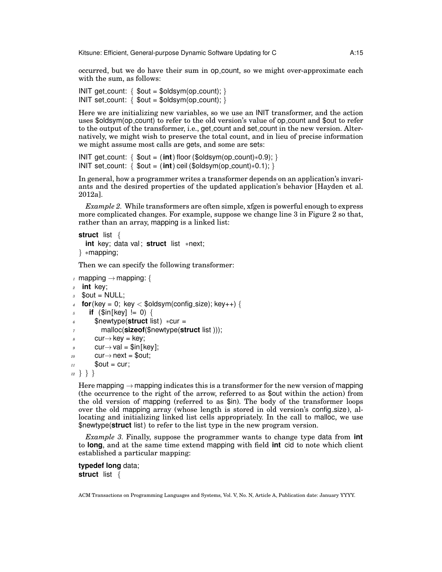Kitsune: Efficient, General-purpose Dynamic Software Updating for C A:15

occurred, but we do have their sum in op count, so we might over-approximate each with the sum, as follows:

INIT get\_count:  $\{$  \$out = \$oldsym(op\_count);  $\}$ INIT set count:  $\{$  \$out = \$oldsym(op count);  $\}$ 

Here we are initializing new variables, so we use an INIT transformer, and the action uses \$oldsym(op count) to refer to the old version's value of op count and \$out to refer to the output of the transformer, i.e., get count and set count in the new version. Alternatively, we might wish to preserve the total count, and in lieu of precise information we might assume most calls are gets, and some are sets:

```
INIT get count: { $out = (int) floor ($oldsym(op count)∗0.9); }
INIT set count: { $out = (int) ceil ($oldsym(op count)∗0.1); }
```
In general, how a programmer writes a transformer depends on an application's invariants and the desired properties of the updated application's behavior [Hayden et al. 2012a].

*Example 2.* While transformers are often simple, xfgen is powerful enough to express more complicated changes. For example, suppose we change line 3 in Figure 2 so that, rather than an array, mapping is a linked list:

```
struct list {
  int key; data val; struct list ∗next;
} ∗mapping;
```
Then we can specify the following transformer:

```
_1 mapping \rightarrow mapping: {
2 int key;
   3 out = NULL;
   for(key = 0; key < $oldsym(config_size); key++) {
5 if ($in[key] != 0) {
6 $newtype(struct list) ∗cur =
7 malloc(sizeof($newtype(struct list )));
        cur \rightarrow \text{key} = \text{key};
9 cur\rightarrow val = $in[key];
10 cur\rightarrow next = $out;
11 $out = cur;12 } } }
```
Here mapping  $\rightarrow$  mapping indicates this is a transformer for the new version of mapping (the occurrence to the right of the arrow, referred to as \$out within the action) from the old version of mapping (referred to as \$in). The body of the transformer loops over the old mapping array (whose length is stored in old version's config size), allocating and initializing linked list cells appropriately. In the call to malloc, we use \$newtype(**struct** list ) to refer to the list type in the new program version.

*Example 3.* Finally, suppose the programmer wants to change type data from **int** to **long**, and at the same time extend mapping with field **int** cid to note which client established a particular mapping:

**typedef long** data; **struct** list {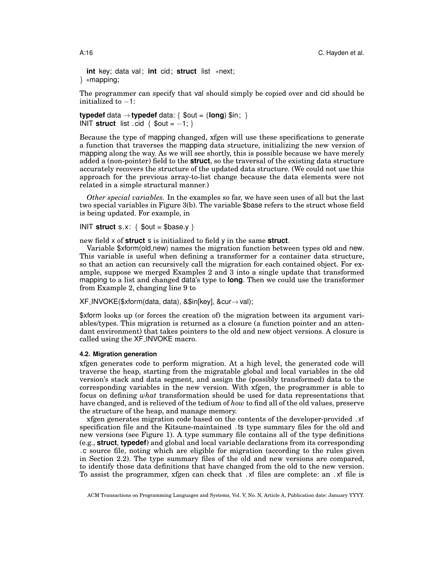**int** key; data val; **int** cid; **struct** list ∗next; } ∗mapping;

The programmer can specify that val should simply be copied over and cid should be initialized to −1:

**typedef** data →**typedef** data: { \$out = (**long**) \$in; } INIT **struct** list . cid  $\{$  \$out =  $-1$ ;  $\}$ 

Because the type of mapping changed, xfgen will use these specifications to generate a function that traverses the mapping data structure, initializing the new version of mapping along the way. As we will see shortly, this is possible because we have merely added a (non-pointer) field to the **struct**, so the traversal of the existing data structure accurately recovers the structure of the updated data structure. (We could not use this approach for the previous array-to-list change because the data elements were not related in a simple structural manner.)

*Other special variables.* In the examples so far, we have seen uses of all but the last two special variables in Figure 3(b). The variable \$base refers to the struct whose field is being updated. For example, in

**INIT struct** s.x:  $\{$  \$out = \$base.y  $\}$ 

new field x of **struct** s is initialized to field y in the same **struct**.

Variable \$xform(old,new) names the migration function between types old and new. This variable is useful when defining a transformer for a container data structure, so that an action can recursively call the migration for each contained object. For example, suppose we merged Examples 2 and 3 into a single update that transformed mapping to a list and changed data's type to **long**. Then we could use the transformer from Example 2, changing line 9 to

 $XF$  INVOKE( $$xform(data, data)$ ,  $&$sin[key]$ ,  $&cur \rightarrow val$ );

\$xform looks up (or forces the creation of) the migration between its argument variables/types. This migration is returned as a closure (a function pointer and an attendant environment) that takes pointers to the old and new object versions. A closure is called using the XF INVOKE macro.

### **4.2. Migration generation**

xfgen generates code to perform migration. At a high level, the generated code will traverse the heap, starting from the migratable global and local variables in the old version's stack and data segment, and assign the (possibly transformed) data to the corresponding variables in the new version. With xfgen, the programmer is able to focus on defining *what* transformation should be used for data representations that have changed, and is relieved of the tedium of *how* to find all of the old values, preserve the structure of the heap, and manage memory.

xfgen generates migration code based on the contents of the developer-provided . xf specification file and the Kitsune-maintained . ts type summary files for the old and new versions (see Figure 1). A type summary file contains all of the type definitions (e.g., **struct**, **typedef**) and global and local variable declarations from its corresponding .c source file, noting which are eligible for migration (according to the rules given in Section 2.2). The type summary files of the old and new versions are compared, to identify those data definitions that have changed from the old to the new version. To assist the programmer, xfgen can check that . xf files are complete: an . xf file is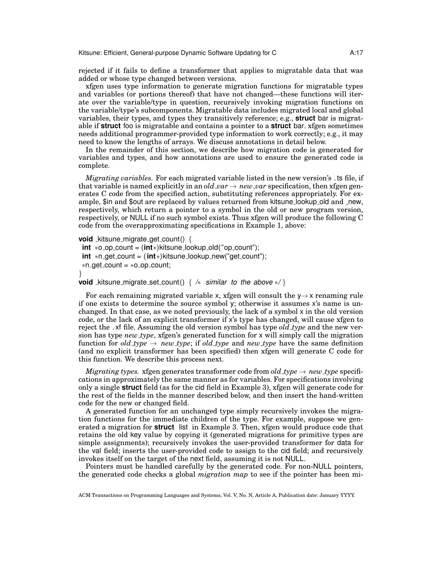rejected if it fails to define a transformer that applies to migratable data that was added or whose type changed between versions.

xfgen uses type information to generate migration functions for migratable types and variables (or portions thereof) that have not changed—these functions will iterate over the variable/type in question, recursively invoking migration functions on the variable/type's subcomponents. Migratable data includes migrated local and global variables, their types, and types they transitively reference; e.g., **struct** bar is migratable if **struct** foo is migratable and contains a pointer to a **struct** bar. xfgen sometimes needs additional programmer-provided type information to work correctly; e.g., it may need to know the lengths of arrays. We discuss annotations in detail below.

In the remainder of this section, we describe how migration code is generated for variables and types, and how annotations are used to ensure the generated code is complete.

*Migrating variables.* For each migrated variable listed in the new version's . ts file, if that variable is named explicitly in an *old*  $var \rightarrow new\_var$  specification, then xfgen generates C code from the specified action, substituting references appropriately. For example, \$in and \$out are replaced by values returned from kitsune\_lookup\_old and \_new, respectively, which return a pointer to a symbol in the old or new program version, respectively, or NULL if no such symbol exists. Thus xfgen will produce the following C code from the overapproximating specifications in Example 1, above:

```
void kitsune migrate get count() {
 int *o op count = (int*)kitsune lookup old("op count");
 int ∗n_get_count = (int∗)kitsune_lookup_new("get_count");
 ∗n get count = ∗o op count;
}
```

```
void kitsune migrate set count () { /∗ similar to the above ∗/ }
```
For each remaining migrated variable x, xfgen will consult the  $y \rightarrow x$  renaming rule if one exists to determine the source symbol y; otherwise it assumes x's name is unchanged. In that case, as we noted previously, the lack of a symbol x in the old version code, or the lack of an explicit transformer if x's type has changed, will cause xfgen to reject the . xf file. Assuming the old version symbol has type *old type* and the new version has type *new type*, xfgen's generated function for x will simply call the migration function for  $\text{old\_type} \rightarrow \text{new\_type}$ ; if  $\text{old\_type}$  and  $\text{new\_type}$  have the same definition (and no explicit transformer has been specified) then xfgen will generate C code for this function. We describe this process next.

*Migrating types.* xfgen generates transformer code from  $old\_type \rightarrow new\_type$  specifications in approximately the same manner as for variables. For specifications involving only a single **struct** field (as for the cid field in Example 3), xfgen will generate code for the rest of the fields in the manner described below, and then insert the hand-written code for the new or changed field.

A generated function for an unchanged type simply recursively invokes the migration functions for the immediate children of the type. For example, suppose we generated a migration for **struct** list in Example 3. Then, xfgen would produce code that retains the old key value by copying it (generated migrations for primitive types are simple assignments); recursively invokes the user-provided transformer for data for the val field; inserts the user-provided code to assign to the cid field; and recursively invokes itself on the target of the next field, assuming it is not NULL.

Pointers must be handled carefully by the generated code. For non-NULL pointers, the generated code checks a global *migration map* to see if the pointer has been mi-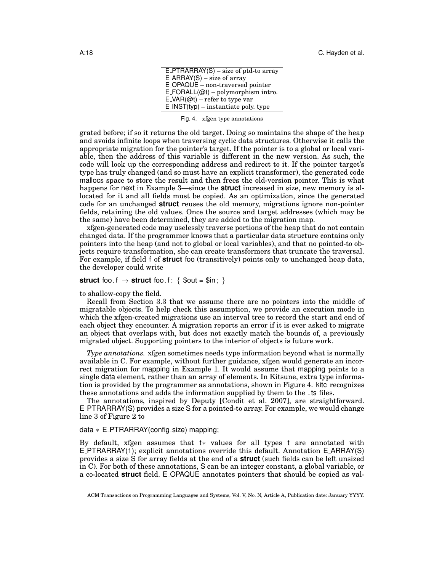| $E$ PTRARRAY(S) – size of ptd-to array  |
|-----------------------------------------|
|                                         |
| $E_ARRAY(S) - size of array$            |
| E_OPAQUE - non-traversed pointer        |
| $E_FORALL(@t) - polymorphism$ intro.    |
| $E_VAR(\omega t)$ – refer to type var   |
| $E$ _INST(typ) – instantiate poly. type |

Fig. 4. xfgen type annotations

grated before; if so it returns the old target. Doing so maintains the shape of the heap and avoids infinite loops when traversing cyclic data structures. Otherwise it calls the appropriate migration for the pointer's target. If the pointer is to a global or local variable, then the address of this variable is different in the new version. As such, the code will look up the corresponding address and redirect to it. If the pointer target's type has truly changed (and so must have an explicit transformer), the generated code mallocs space to store the result and then frees the old-version pointer. This is what happens for next in Example 3—since the **struct** increased in size, new memory is allocated for it and all fields must be copied. As an optimization, since the generated code for an unchanged **struct** reuses the old memory, migrations ignore non-pointer fields, retaining the old values. Once the source and target addresses (which may be the same) have been determined, they are added to the migration map.

xfgen-generated code may uselessly traverse portions of the heap that do not contain changed data. If the programmer knows that a particular data structure contains only pointers into the heap (and not to global or local variables), and that no pointed-to objects require transformation, she can create transformers that truncate the traversal. For example, if field f of **struct** foo (transitively) points only to unchanged heap data, the developer could write

**struct** foo.  $f \rightarrow$  **struct** foo. f: { \$out = \$in; }

to shallow-copy the field.

Recall from Section 3.3 that we assume there are no pointers into the middle of migratable objects. To help check this assumption, we provide an execution mode in which the xfgen-created migrations use an interval tree to record the start and end of each object they encounter. A migration reports an error if it is ever asked to migrate an object that overlaps with, but does not exactly match the bounds of, a previously migrated object. Supporting pointers to the interior of objects is future work.

*Type annotations.* xfgen sometimes needs type information beyond what is normally available in C. For example, without further guidance, xfgen would generate an incorrect migration for mapping in Example 1. It would assume that mapping points to a single data element, rather than an array of elements. In Kitsune, extra type information is provided by the programmer as annotations, shown in Figure 4. kitc recognizes these annotations and adds the information supplied by them to the . ts files.

The annotations, inspired by Deputy [Condit et al. 2007], are straightforward. E PTRARRAY(S) provides a size S for a pointed-to array. For example, we would change line 3 of Figure 2 to

### data ∗ E\_PTRARRAY(config\_size) mapping;

By default, xfgen assumes that t∗ values for all types t are annotated with E PTRARRAY(1); explicit annotations override this default. Annotation E ARRAY(S) provides a size S for array fields at the end of a **struct** (such fields can be left unsized in C). For both of these annotations, S can be an integer constant, a global variable, or a co-located **struct** field. E OPAQUE annotates pointers that should be copied as val-

ACM Transactions on Programming Languages and Systems, Vol. V, No. N, Article A, Publication date: January YYYY.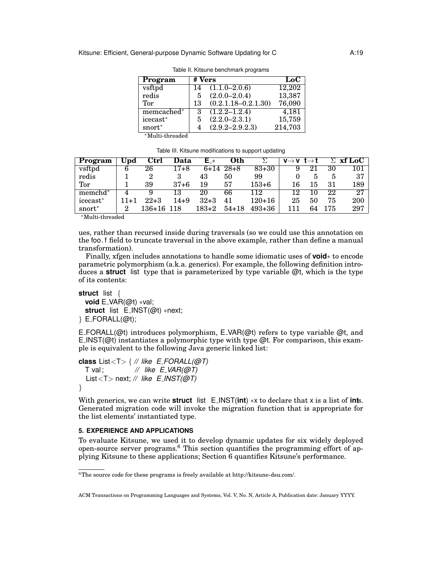| Program    | # Vers |                         | LoC     |
|------------|--------|-------------------------|---------|
| vsftpd     | 14     | $(1.1.0 - 2.0.6)$       | 12,202  |
| redis      | 5      | $(2.0.0 - 2.0.4)$       | 13,387  |
| Tor        | 13     | $(0.2.1.18 - 0.2.1.30)$ | 76,090  |
| memcached* | 3      | $(1.2.2 - 1.2.4)$       | 4,181   |
| icecast*   | 5      | $(2.2.0 - 2.3.1)$       | 15,759  |
| snort*     |        | $(2.9.2 - 2.9.2.3)$     | 214,703 |

Table II. Kitsune benchmark programs

<sup>∗</sup>Multi-threaded

| Program              | Upd | Ctrl     | Data     | $E$ *    | Oth     |            | $V \rightarrow V$ |    |     | $xf$ LoC $\vert$ |
|----------------------|-----|----------|----------|----------|---------|------------|-------------------|----|-----|------------------|
| vsftpd               | 6   | 26       | $17 + 8$ | $6 + 14$ | 28+8    | $83+30$    |                   | 21 | 30  | 101              |
| redis                |     | 2        |          | 43       | 50      | 99         |                   |    | 5   | 37 <sup>1</sup>  |
| Tor                  |     | 39       | $37 + 6$ | 19       | 57      | $153 + 6$  | 16                | 15 | 31  | 189              |
| $m$ emchd $*$        |     | q        | 13       | 20       | 66      | 112        | 12                |    | 22  | 27               |
| icecast <sup>*</sup> |     | $22 + 3$ | 14+9     | $32 + 3$ | 41      | $120+16$   | 25                | 50 | 75  | 200              |
| $snort^*$            |     | 136+16   | 118      | $183+2$  | $54+18$ | $493 + 36$ |                   |    | 175 | 297              |

Table III. Kitsune modifications to support updating

<sup>∗</sup>Multi-threaded

ues, rather than recursed inside during traversals (so we could use this annotation on the foo. f field to truncate traversal in the above example, rather than define a manual transformation).

Finally, xfgen includes annotations to handle some idiomatic uses of **void**∗ to encode parametric polymorphism (a.k.a. generics). For example, the following definition introduces a **struct** list type that is parameterized by type variable @t, which is the type of its contents:

```
struct list {
 void E_VAR(@t) ∗val;
 struct list E INST(@t) ∗next;
\} E_FORALL(@t);
```
E FORALL(@t) introduces polymorphism, E VAR(@t) refers to type variable @t, and E INST(@t) instantiates a polymorphic type with type @t. For comparison, this example is equivalent to the following Java generic linked list:

```
class List<T> { // like E FORALL(@T)
 T val; // like E VAR(@T)
  List<T> next; // like E INST(@T)
}
```
With generics, we can write **struct** list E INST(**int**) ∗x to declare that x is a list of **int**s. Generated migration code will invoke the migration function that is appropriate for the list elements' instantiated type.

## **5. EXPERIENCE AND APPLICATIONS**

To evaluate Kitsune, we used it to develop dynamic updates for six widely deployed open-source server programs.<sup>6</sup> This section quantifies the programming effort of applying Kitsune to these applications; Section 6 quantifies Kitsune's performance.

<sup>&</sup>lt;sup>6</sup>The source code for these programs is freely available at http://kitsune-dsu.com/.

ACM Transactions on Programming Languages and Systems, Vol. V, No. N, Article A, Publication date: January YYYY.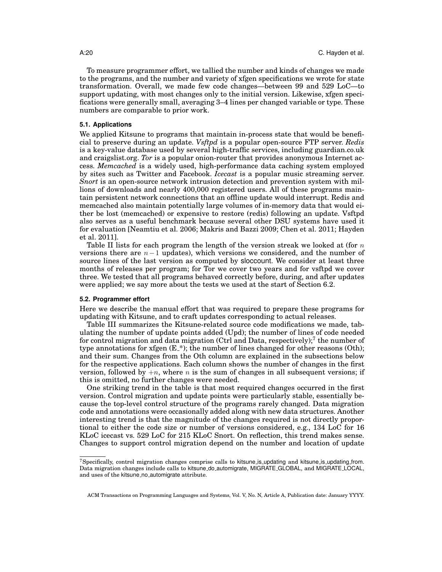To measure programmer effort, we tallied the number and kinds of changes we made to the programs, and the number and variety of xfgen specifications we wrote for state transformation. Overall, we made few code changes—between 99 and 529 LoC—to support updating, with most changes only to the initial version. Likewise, xfgen specifications were generally small, averaging 3–4 lines per changed variable or type. These numbers are comparable to prior work.

## **5.1. Applications**

We applied Kitsune to programs that maintain in-process state that would be beneficial to preserve during an update. *Vsftpd* is a popular open-source FTP server. *Redis* is a key-value database used by several high-traffic services, including guardian.co.uk and craigslist.org. *Tor* is a popular onion-router that provides anonymous Internet access. *Memcached* is a widely used, high-performance data caching system employed by sites such as Twitter and Facebook. *Icecast* is a popular music streaming server. *Snort* is an open-source network intrusion detection and prevention system with millions of downloads and nearly 400,000 registered users. All of these programs maintain persistent network connections that an offline update would interrupt. Redis and memcached also maintain potentially large volumes of in-memory data that would either be lost (memcached) or expensive to restore (redis) following an update. Vsftpd also serves as a useful benchmark because several other DSU systems have used it for evaluation [Neamtiu et al. 2006; Makris and Bazzi 2009; Chen et al. 2011; Hayden et al. 2011].

Table II lists for each program the length of the version streak we looked at (for  $n$ versions there are  $n-1$  updates), which versions we considered, and the number of source lines of the last version as computed by sloccount. We consider at least three months of releases per program; for Tor we cover two years and for vsftpd we cover three. We tested that all programs behaved correctly before, during, and after updates were applied; we say more about the tests we used at the start of Section 6.2.

### **5.2. Programmer effort**

Here we describe the manual effort that was required to prepare these programs for updating with Kitsune, and to craft updates corresponding to actual releases.

Table III summarizes the Kitsune-related source code modifications we made, tabulating the number of update points added (Upd); the number of lines of code needed for control migration and data migration (Ctrl and Data, respectively);<sup>7</sup> the number of type annotations for xfgen  $(E^*)$ ; the number of lines changed for other reasons (Oth); and their sum. Changes from the Oth column are explained in the subsections below for the respective applications. Each column shows the number of changes in the first version, followed by  $+n$ , where n is the sum of changes in all subsequent versions; if this is omitted, no further changes were needed.

One striking trend in the table is that most required changes occurred in the first version. Control migration and update points were particularly stable, essentially because the top-level control structure of the programs rarely changed. Data migration code and annotations were occasionally added along with new data structures. Another interesting trend is that the magnitude of the changes required is not directly proportional to either the code size or number of versions considered, e.g., 134 LoC for 16 KLoC icecast vs. 529 LoC for 215 KLoC Snort. On reflection, this trend makes sense. Changes to support control migration depend on the number and location of update

<sup>7</sup>Specifically, control migration changes comprise calls to kitsune is updating and kitsune is updating from. Data migration changes include calls to kitsune do automigrate, MIGRATE GLOBAL, and MIGRATE LOCAL, and uses of the kitsune no automigrate attribute.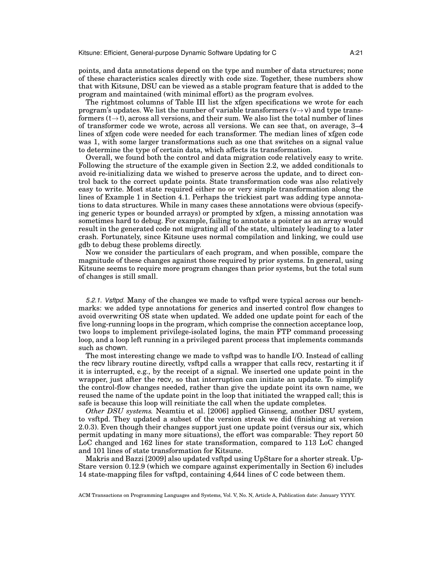points, and data annotations depend on the type and number of data structures; none of these characteristics scales directly with code size. Together, these numbers show that with Kitsune, DSU can be viewed as a stable program feature that is added to the program and maintained (with minimal effort) as the program evolves.

The rightmost columns of Table III list the xfgen specifications we wrote for each program's updates. We list the number of variable transformers  $(v \rightarrow v)$  and type transformers ( $t \rightarrow t$ ), across all versions, and their sum. We also list the total number of lines of transformer code we wrote, across all versions. We can see that, on average, 3–4 lines of xfgen code were needed for each transformer. The median lines of xfgen code was 1, with some larger transformations such as one that switches on a signal value to determine the type of certain data, which affects its transformation.

Overall, we found both the control and data migration code relatively easy to write. Following the structure of the example given in Section 2.2, we added conditionals to avoid re-initializing data we wished to preserve across the update, and to direct control back to the correct update points. State transformation code was also relatively easy to write. Most state required either no or very simple transformation along the lines of Example 1 in Section 4.1. Perhaps the trickiest part was adding type annotations to data structures. While in many cases these annotations were obvious (specifying generic types or bounded arrays) or prompted by xfgen, a missing annotation was sometimes hard to debug. For example, failing to annotate a pointer as an array would result in the generated code not migrating all of the state, ultimately leading to a later crash. Fortunately, since Kitsune uses normal compilation and linking, we could use gdb to debug these problems directly.

Now we consider the particulars of each program, and when possible, compare the magnitude of these changes against those required by prior systems. In general, using Kitsune seems to require more program changes than prior systems, but the total sum of changes is still small.

*5.2.1. Vsftpd.* Many of the changes we made to vsftpd were typical across our benchmarks: we added type annotations for generics and inserted control flow changes to avoid overwriting OS state when updated. We added one update point for each of the five long-running loops in the program, which comprise the connection acceptance loop, two loops to implement privilege-isolated logins, the main FTP command processing loop, and a loop left running in a privileged parent process that implements commands such as chown.

The most interesting change we made to vsftpd was to handle I/O. Instead of calling the recv library routine directly, vsftpd calls a wrapper that calls recv, restarting it if it is interrupted, e.g., by the receipt of a signal. We inserted one update point in the wrapper, just after the recv, so that interruption can initiate an update. To simplify the control-flow changes needed, rather than give the update point its own name, we reused the name of the update point in the loop that initiated the wrapped call; this is safe is because this loop will reinitiate the call when the update completes.

*Other DSU systems.* Neamtiu et al. [2006] applied Ginseng, another DSU system, to vsftpd. They updated a subset of the version streak we did (finishing at version 2.0.3). Even though their changes support just one update point (versus our six, which permit updating in many more situations), the effort was comparable: They report 50 LoC changed and 162 lines for state transformation, compared to 113 LoC changed and 101 lines of state transformation for Kitsune.

Makris and Bazzi [2009] also updated vsftpd using UpStare for a shorter streak. Up-Stare version 0.12.9 (which we compare against experimentally in Section 6) includes 14 state-mapping files for vsftpd, containing 4,644 lines of C code between them.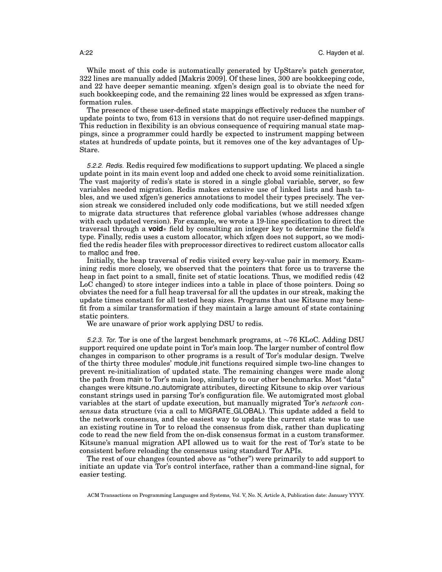While most of this code is automatically generated by UpStare's patch generator, 322 lines are manually added [Makris 2009]. Of these lines, 300 are bookkeeping code, and 22 have deeper semantic meaning. xfgen's design goal is to obviate the need for such bookkeeping code, and the remaining 22 lines would be expressed as xfgen transformation rules.

The presence of these user-defined state mappings effectively reduces the number of update points to two, from 613 in versions that do not require user-defined mappings. This reduction in flexibility is an obvious consequence of requiring manual state mappings, since a programmer could hardly be expected to instrument mapping between states at hundreds of update points, but it removes one of the key advantages of Up-Stare.

*5.2.2. Redis.* Redis required few modifications to support updating. We placed a single update point in its main event loop and added one check to avoid some reinitialization. The vast majority of redis's state is stored in a single global variable, server, so few variables needed migration. Redis makes extensive use of linked lists and hash tables, and we used xfgen's generics annotations to model their types precisely. The version streak we considered included only code modifications, but we still needed xfgen to migrate data structures that reference global variables (whose addresses change with each updated version). For example, we wrote a 19-line specification to direct the traversal through a **void**∗ field by consulting an integer key to determine the field's type. Finally, redis uses a custom allocator, which xfgen does not support, so we modified the redis header files with preprocessor directives to redirect custom allocator calls to malloc and free.

Initially, the heap traversal of redis visited every key-value pair in memory. Examining redis more closely, we observed that the pointers that force us to traverse the heap in fact point to a small, finite set of static locations. Thus, we modified redis (42) LoC changed) to store integer indices into a table in place of those pointers. Doing so obviates the need for a full heap traversal for all the updates in our streak, making the update times constant for all tested heap sizes. Programs that use Kitsune may benefit from a similar transformation if they maintain a large amount of state containing static pointers.

We are unaware of prior work applying DSU to redis.

*5.2.3. Tor.* Tor is one of the largest benchmark programs, at ∼76 KLoC. Adding DSU support required one update point in Tor's main loop. The larger number of control flow changes in comparison to other programs is a result of Tor's modular design. Twelve of the thirty three modules' module init functions required simple two-line changes to prevent re-initialization of updated state. The remaining changes were made along the path from main to Tor's main loop, similarly to our other benchmarks. Most "data" changes were kitsune no automigrate attributes, directing Kitsune to skip over various constant strings used in parsing Tor's configuration file. We automigrated most global variables at the start of update execution, but manually migrated Tor's *network consensus* data structure (via a call to MIGRATE GLOBAL). This update added a field to the network consensus, and the easiest way to update the current state was to use an existing routine in Tor to reload the consensus from disk, rather than duplicating code to read the new field from the on-disk consensus format in a custom transformer. Kitsune's manual migration API allowed us to wait for the rest of Tor's state to be consistent before reloading the consensus using standard Tor APIs.

The rest of our changes (counted above as "other") were primarily to add support to initiate an update via Tor's control interface, rather than a command-line signal, for easier testing.

ACM Transactions on Programming Languages and Systems, Vol. V, No. N, Article A, Publication date: January YYYY.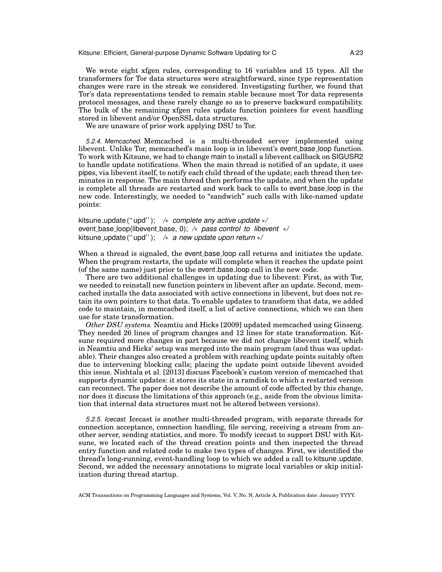Kitsune: Efficient, General-purpose Dynamic Software Updating for C A:23

We wrote eight xfgen rules, corresponding to 16 variables and 15 types. All the transformers for Tor data structures were straightforward, since type representation changes were rare in the streak we considered. Investigating further, we found that Tor's data representations tended to remain stable because most Tor data represents protocol messages, and these rarely change so as to preserve backward compatibility. The bulk of the remaining xfgen rules update function pointers for event handling stored in libevent and/or OpenSSL data structures.

We are unaware of prior work applying DSU to Tor.

*5.2.4. Memcached.* Memcached is a multi-threaded server implemented using libevent. Unlike Tor, memcached's main loop is in libevent's event base loop function. To work with Kitsune, we had to change main to install a libevent callback on SIGUSR2 to handle update notifications. When the main thread is notified of an update, it uses pipes, via libevent itself, to notify each child thread of the update; each thread then terminates in response. The main thread then performs the update, and when the update is complete all threads are restarted and work back to calls to event base loop in the new code. Interestingly, we needed to "sandwich" such calls with like-named update points:

kitsune update ('' upd'' ); */*∗ *complete any active update* ∗*/* event base loop(libevent base, 0); */*∗ *pass control to libevent* ∗*/* kitsune update ('' upd'' ); */*∗ *a new update upon return* ∗*/*

When a thread is signaled, the event base loop call returns and initiates the update. When the program restarts, the update will complete when it reaches the update point (of the same name) just prior to the event base loop call in the new code.

There are two additional challenges in updating due to libevent: First, as with Tor, we needed to reinstall new function pointers in libevent after an update. Second, memcached installs the data associated with active connections in libevent, but does not retain its own pointers to that data. To enable updates to transform that data, we added code to maintain, in memcached itself, a list of active connections, which we can then use for state transformation.

*Other DSU systems.* Neamtiu and Hicks [2009] updated memcached using Ginseng. They needed 26 lines of program changes and 12 lines for state transformation. Kitsune required more changes in part because we did not change libevent itself, which in Neamtiu and Hicks' setup was merged into the main program (and thus was updatable). Their changes also created a problem with reaching update points suitably often due to intervening blocking calls; placing the update point outside libevent avoided this issue. Nishtala et al. [2013] discuss Facebook's custom version of memcached that supports dynamic updates: it stores its state in a ramdisk to which a restarted version can reconnect. The paper does not describe the amount of code affected by this change, nor does it discuss the limitations of this approach (e.g., aside from the obvious limitation that internal data structures must not be altered between versions).

*5.2.5. Icecast.* Icecast is another multi-threaded program, with separate threads for connection acceptance, connection handling, file serving, receiving a stream from another server, sending statistics, and more. To modify icecast to support DSU with Kitsune, we located each of the thread creation points and then inspected the thread entry function and related code to make two types of changes. First, we identified the thread's long-running, event-handling loop to which we added a call to kitsune update. Second, we added the necessary annotations to migrate local variables or skip initialization during thread startup.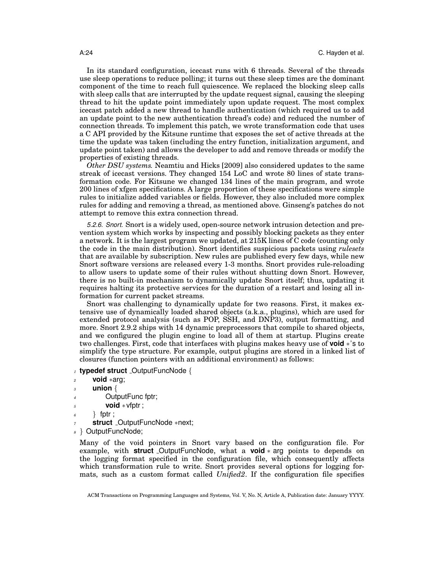In its standard configuration, icecast runs with 6 threads. Several of the threads use sleep operations to reduce polling; it turns out these sleep times are the dominant component of the time to reach full quiescence. We replaced the blocking sleep calls with sleep calls that are interrupted by the update request signal, causing the sleeping thread to hit the update point immediately upon update request. The most complex icecast patch added a new thread to handle authentication (which required us to add an update point to the new authentication thread's code) and reduced the number of connection threads. To implement this patch, we wrote transformation code that uses a C API provided by the Kitsune runtime that exposes the set of active threads at the time the update was taken (including the entry function, initialization argument, and update point taken) and allows the developer to add and remove threads or modify the properties of existing threads.

*Other DSU systems.* Neamtiu and Hicks [2009] also considered updates to the same streak of icecast versions. They changed 154 LoC and wrote 80 lines of state transformation code. For Kitsune we changed 134 lines of the main program, and wrote 200 lines of xfgen specifications. A large proportion of these specifications were simple rules to initialize added variables or fields. However, they also included more complex rules for adding and removing a thread, as mentioned above. Ginseng's patches do not attempt to remove this extra connection thread.

*5.2.6. Snort.* Snort is a widely used, open-source network intrusion detection and prevention system which works by inspecting and possibly blocking packets as they enter a network. It is the largest program we updated, at 215K lines of C code (counting only the code in the main distribution). Snort identifies suspicious packets using *rulesets* that are available by subscription. New rules are published every few days, while new Snort software versions are released every 1-3 months. Snort provides rule-reloading to allow users to update some of their rules without shutting down Snort. However, there is no built-in mechanism to dynamically update Snort itself; thus, updating it requires halting its protective services for the duration of a restart and losing all information for current packet streams.

Snort was challenging to dynamically update for two reasons. First, it makes extensive use of dynamically loaded shared objects (a.k.a., plugins), which are used for extended protocol analysis (such as POP, SSH, and DNP3), output formatting, and more. Snort 2.9.2 ships with 14 dynamic preprocessors that compile to shared objects, and we configured the plugin engine to load all of them at startup. Plugins create two challenges. First, code that interfaces with plugins makes heavy use of **void** ∗'s to simplify the type structure. For example, output plugins are stored in a linked list of closures (function pointers with an additional environment) as follows:

*<sup>1</sup>* **typedef struct** OutputFuncNode {

- *<sup>2</sup>* **void** ∗arg;
- *<sup>3</sup>* **union** {
- *<sup>4</sup>* OutputFunc fptr;
- *<sup>5</sup>* **void** ∗vfptr ;
- *<sup>6</sup>* } fptr ;
- *7* **struct** \_OutputFuncNode ∗next;

*<sup>8</sup>* } OutputFuncNode;

Many of the void pointers in Snort vary based on the configuration file. For example, with **struct** OutputFuncNode, what a **void** ∗ arg points to depends on the logging format specified in the configuration file, which consequently affects which transformation rule to write. Snort provides several options for logging formats, such as a custom format called *Unified2*. If the configuration file specifies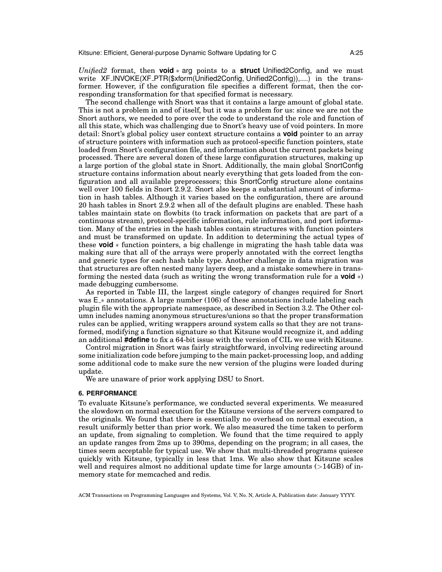*Unified2* format, then **void** ∗ arg points to a **struct** Unified2Config, and we must write XF\_INVOKE(XF\_PTR(\$xform(Unified2Config, Unified2Config)),....) in the transformer. However, if the configuration file specifies a different format, then the corresponding transformation for that specified format is necessary.

The second challenge with Snort was that it contains a large amount of global state. This is not a problem in and of itself, but it was a problem for us: since we are not the Snort authors, we needed to pore over the code to understand the role and function of all this state, which was challenging due to Snort's heavy use of void pointers. In more detail: Snort's global policy user context structure contains a **void** pointer to an array of structure pointers with information such as protocol-specific function pointers, state loaded from Snort's configuration file, and information about the current packets being processed. There are several dozen of these large configuration structures, making up a large portion of the global state in Snort. Additionally, the main global SnortConfig structure contains information about nearly everything that gets loaded from the configuration and all available preprocessors; this SnortConfig structure alone contains well over 100 fields in Snort 2.9.2. Snort also keeps a substantial amount of information in hash tables. Although it varies based on the configuration, there are around 20 hash tables in Snort 2.9.2 when all of the default plugins are enabled. These hash tables maintain state on flowbits (to track information on packets that are part of a continuous stream), protocol-specific information, rule information, and port information. Many of the entries in the hash tables contain structures with function pointers and must be transformed on update. In addition to determining the actual types of these **void** ∗ function pointers, a big challenge in migrating the hash table data was making sure that all of the arrays were properly annotated with the correct lengths and generic types for each hash table type. Another challenge in data migration was that structures are often nested many layers deep, and a mistake somewhere in transforming the nested data (such as writing the wrong transformation rule for a **void** ∗) made debugging cumbersome.

As reported in Table III, the largest single category of changes required for Snort was  $E_{\star}$  annotations. A large number (106) of these annotations include labeling each plugin file with the appropriate namespace, as described in Section 3.2. The Other column includes naming anonymous structures/unions so that the proper transformation rules can be applied, writing wrappers around system calls so that they are not transformed, modifying a function signature so that Kitsune would recognize it, and adding an additional **#define** to fix a 64-bit issue with the version of CIL we use with Kitsune.

Control migration in Snort was fairly straightforward, involving redirecting around some initialization code before jumping to the main packet-processing loop, and adding some additional code to make sure the new version of the plugins were loaded during update.

We are unaware of prior work applying DSU to Snort.

#### **6. PERFORMANCE**

To evaluate Kitsune's performance, we conducted several experiments. We measured the slowdown on normal execution for the Kitsune versions of the servers compared to the originals. We found that there is essentially no overhead on normal execution, a result uniformly better than prior work. We also measured the time taken to perform an update, from signaling to completion. We found that the time required to apply an update ranges from 2ms up to 390ms, depending on the program; in all cases, the times seem acceptable for typical use. We show that multi-threaded programs quiesce quickly with Kitsune, typically in less that 1ms. We also show that Kitsune scales well and requires almost no additional update time for large amounts ( $>14GB$ ) of inmemory state for memcached and redis.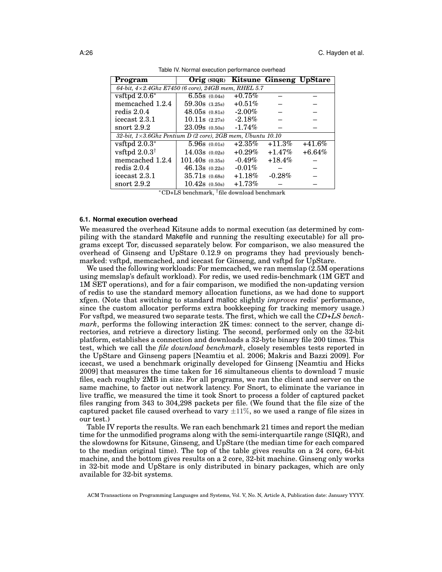| Program                                                            | Orig (SIQR) Kitsune Ginseng UpStare |           |           |           |
|--------------------------------------------------------------------|-------------------------------------|-----------|-----------|-----------|
| 64-bit, $4 \times 2.4$ Ghz E7450 (6 core), 24GB mem, RHEL 5.7      |                                     |           |           |           |
| vsftpd $2.0.6*$                                                    | $6.55s$ (0.04s)                     | $+0.75%$  |           |           |
| memcached 1.2.4                                                    | $59.30s$ (3.25s)                    | $+0.51%$  |           |           |
| redis 2.0.4                                                        | $48.05s$ (0.81s)                    | $-2.00\%$ |           |           |
| icecast 2.3.1                                                      | $10.11$ s (2.27s)                   | $-2.18%$  |           |           |
| snort $2.9.2$                                                      | $23.09s$ (0.50s)                    | $-1.74%$  |           |           |
| 32-bit, $1\times3.6$ Ghz Pentium D (2 core), 2GB mem, Ubuntu 10.10 |                                     |           |           |           |
| vsftpd $2.0.3*$                                                    | $5.96s$ (0.01s)                     | $+2.35\%$ | $+11.3%$  | $+41.6%$  |
| vsftpd $2.0.3^{\dagger}$                                           | $14.03s$ (0.02s)                    | $+0.29\%$ | $+1.47\%$ | $+6.64\%$ |
| memcached 1.2.4                                                    | $101.40s$ (0.35s)                   | $-0.49\%$ | $+18.4\%$ |           |
| redis 2.0.4                                                        | $46.13s$ (0.22s)                    | $-0.01\%$ |           |           |
| icecast 2.3.1                                                      | $35.71s$ (0.68s)                    | $+1.18\%$ | $-0.28%$  |           |
| snort $2.9.2$                                                      | $10.42$ s (0.50s)                   | $+1.73%$  |           |           |

Table IV. Normal execution performance overhead

<sup>∗</sup>CD+LS benchmark, †file download benchmark

### **6.1. Normal execution overhead**

We measured the overhead Kitsune adds to normal execution (as determined by compiling with the standard Makefile and running the resulting executable) for all programs except Tor, discussed separately below. For comparison, we also measured the overhead of Ginseng and UpStare 0.12.9 on programs they had previously benchmarked: vsftpd, memcached, and icecast for Ginseng, and vsftpd for UpStare.

We used the following workloads: For memcached, we ran memslap (2.5M operations using memslap's default workload). For redis, we used redis-benchmark (1M GET and 1M SET operations), and for a fair comparison, we modified the non-updating version of redis to use the standard memory allocation functions, as we had done to support xfgen. (Note that switching to standard malloc slightly *improves* redis' performance, since the custom allocator performs extra bookkeeping for tracking memory usage.) For vsftpd, we measured two separate tests. The first, which we call the *CD+LS benchmark*, performs the following interaction 2K times: connect to the server, change directories, and retrieve a directory listing. The second, performed only on the 32-bit platform, establishes a connection and downloads a 32-byte binary file 200 times. This test, which we call the *file download benchmark*, closely resembles tests reported in the UpStare and Ginseng papers [Neamtiu et al. 2006; Makris and Bazzi 2009]. For icecast, we used a benchmark originally developed for Ginseng [Neamtiu and Hicks 2009] that measures the time taken for 16 simultaneous clients to download 7 music files, each roughly 2MB in size. For all programs, we ran the client and server on the same machine, to factor out network latency. For Snort, to eliminate the variance in live traffic, we measured the time it took Snort to process a folder of captured packet files ranging from 343 to 304,298 packets per file. (We found that the file size of the captured packet file caused overhead to vary  $\pm 11\%$ , so we used a range of file sizes in our test.)

Table IV reports the results. We ran each benchmark 21 times and report the median time for the unmodified programs along with the semi-interquartile range (SIQR), and the slowdowns for Kitsune, Ginseng, and UpStare (the median time for each compared to the median original time). The top of the table gives results on a 24 core, 64-bit machine, and the bottom gives results on a 2 core, 32-bit machine. Ginseng only works in 32-bit mode and UpStare is only distributed in binary packages, which are only available for 32-bit systems.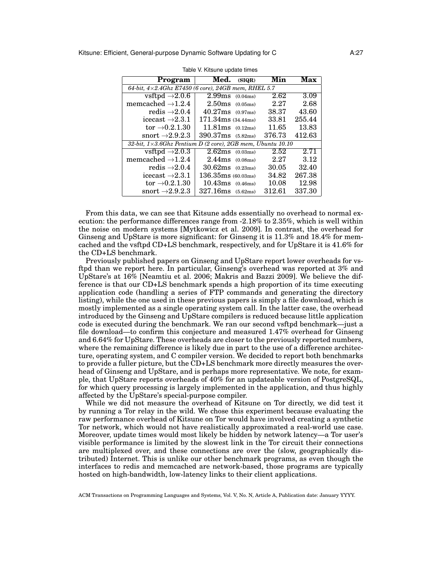| Program                                                            | Med.<br>(SIQR)                 | Min    | Max               |  |  |  |  |  |  |
|--------------------------------------------------------------------|--------------------------------|--------|-------------------|--|--|--|--|--|--|
| 64-bit, $4 \times 2.4$ Ghz E7450 (6 core), 24GB mem, RHEL 5.7      |                                |        |                   |  |  |  |  |  |  |
| vsftpd $\rightarrow 2.0.6$                                         | 2.99 <sub>ms</sub><br>(0.04ms) | 2.62   | $\overline{3.09}$ |  |  |  |  |  |  |
| memcached $\rightarrow$ 1.2.4                                      | $2.50ms$ (0.05ms)              | 2.27   | 2.68              |  |  |  |  |  |  |
| redis $\rightarrow 2.0.4$                                          | $40.27ms$ (0.97ms)             | 38.37  | 43.60             |  |  |  |  |  |  |
| icecast $\rightarrow 2.3.1$                                        | 171.34ms (34.44ms)             | 33.81  | 255.44            |  |  |  |  |  |  |
| tor $\rightarrow 0.2.1.30$                                         | $11.81ms$ (0.12ms)             | 11.65  | 13.83             |  |  |  |  |  |  |
| snort $\rightarrow 2.9.2.3$                                        | 390.37ms (5.82ms)              | 376.73 | 412.63            |  |  |  |  |  |  |
| 32-bit, $1\times3.6$ Ghz Pentium D (2 core), 2GB mem, Ubuntu 10.10 |                                |        |                   |  |  |  |  |  |  |
| vsftpd $\rightarrow 2.0.3$                                         | 2.62ms<br>(0.03ms)             | 2.52   | 2.71              |  |  |  |  |  |  |
| memcached $\rightarrow$ 1.2.4                                      | 2.44ms<br>(0.08ms)             | 2.27   | 3.12              |  |  |  |  |  |  |
| redis $\rightarrow 2.0.4$                                          | 30.62ms<br>(0.23ms)            | 30.05  | 32.40             |  |  |  |  |  |  |
| icecast $\rightarrow 2.3.1$                                        | 136.35ms (60.03ms)             | 34.82  | 267.38            |  |  |  |  |  |  |
| tor $\rightarrow 0.2.1.30$                                         | $10.43ms$ (0.46ms)             | 10.08  | 12.98             |  |  |  |  |  |  |
| snort $\rightarrow 2.9.2.3$                                        | 327.16ms<br>(5.62ms)           | 312.61 | 337.30            |  |  |  |  |  |  |

Table V. Kitsune update times

From this data, we can see that Kitsune adds essentially no overhead to normal execution: the performance differences range from -2.18% to 2.35%, which is well within the noise on modern systems [Mytkowicz et al. 2009]. In contrast, the overhead for Ginseng and UpStare is more significant: for Ginseng it is 11.3% and 18.4% for memcached and the vsftpd CD+LS benchmark, respectively, and for UpStare it is 41.6% for the CD+LS benchmark.

Previously published papers on Ginseng and UpStare report lower overheads for vsftpd than we report here. In particular, Ginseng's overhead was reported at 3% and UpStare's at 16% [Neamtiu et al. 2006; Makris and Bazzi 2009]. We believe the difference is that our CD+LS benchmark spends a high proportion of its time executing application code (handling a series of FTP commands and generating the directory listing), while the one used in these previous papers is simply a file download, which is mostly implemented as a single operating system call. In the latter case, the overhead introduced by the Ginseng and UpStare compilers is reduced because little application code is executed during the benchmark. We ran our second vsftpd benchmark—just a file download—to confirm this conjecture and measured 1.47% overhead for Ginseng and 6.64% for UpStare. These overheads are closer to the previously reported numbers, where the remaining difference is likely due in part to the use of a difference architecture, operating system, and C compiler version. We decided to report both benchmarks to provide a fuller picture, but the CD+LS benchmark more directly measures the overhead of Ginseng and UpStare, and is perhaps more representative. We note, for example, that UpStare reports overheads of 40% for an updateable version of PostgreSQL, for which query processing is largely implemented in the application, and thus highly affected by the UpStare's special-purpose compiler.

While we did not measure the overhead of Kitsune on Tor directly, we did test it by running a Tor relay in the wild. We chose this experiment because evaluating the raw performance overhead of Kitsune on Tor would have involved creating a synthetic Tor network, which would not have realistically approximated a real-world use case. Moreover, update times would most likely be hidden by network latency—a Tor user's visible performance is limited by the slowest link in the Tor circuit their connections are multiplexed over, and these connections are over the (slow, geographically distributed) Internet. This is unlike our other benchmark programs, as even though the interfaces to redis and memcached are network-based, those programs are typically hosted on high-bandwidth, low-latency links to their client applications.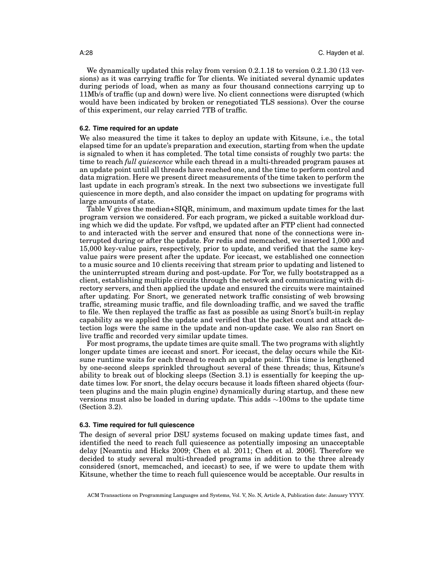We dynamically updated this relay from version 0.2.1.18 to version 0.2.1.30 (13 versions) as it was carrying traffic for Tor clients. We initiated several dynamic updates during periods of load, when as many as four thousand connections carrying up to 11Mb/s of traffic (up and down) were live. No client connections were disrupted (which would have been indicated by broken or renegotiated TLS sessions). Over the course of this experiment, our relay carried 7TB of traffic.

### **6.2. Time required for an update**

We also measured the time it takes to deploy an update with Kitsune, i.e., the total elapsed time for an update's preparation and execution, starting from when the update is signaled to when it has completed. The total time consists of roughly two parts: the time to reach *full quiescence* while each thread in a multi-threaded program pauses at an update point until all threads have reached one, and the time to perform control and data migration. Here we present direct measurements of the time taken to perform the last update in each program's streak. In the next two subsections we investigate full quiescence in more depth, and also consider the impact on updating for programs with large amounts of state.

Table V gives the median+SIQR, minimum, and maximum update times for the last program version we considered. For each program, we picked a suitable workload during which we did the update. For vsftpd, we updated after an FTP client had connected to and interacted with the server and ensured that none of the connections were interrupted during or after the update. For redis and memcached, we inserted 1,000 and 15,000 key-value pairs, respectively, prior to update, and verified that the same keyvalue pairs were present after the update. For icecast, we established one connection to a music source and 10 clients receiving that stream prior to updating and listened to the uninterrupted stream during and post-update. For Tor, we fully bootstrapped as a client, establishing multiple circuits through the network and communicating with directory servers, and then applied the update and ensured the circuits were maintained after updating. For Snort, we generated network traffic consisting of web browsing traffic, streaming music traffic, and file downloading traffic, and we saved the traffic to file. We then replayed the traffic as fast as possible as using Snort's built-in replay capability as we applied the update and verified that the packet count and attack detection logs were the same in the update and non-update case. We also ran Snort on live traffic and recorded very similar update times.

For most programs, the update times are quite small. The two programs with slightly longer update times are icecast and snort. For icecast, the delay occurs while the Kitsune runtime waits for each thread to reach an update point. This time is lengthened by one-second sleeps sprinkled throughout several of these threads; thus, Kitsune's ability to break out of blocking sleeps (Section 3.1) is essentially for keeping the update times low. For snort, the delay occurs because it loads fifteen shared objects (fourteen plugins and the main plugin engine) dynamically during startup, and these new versions must also be loaded in during update. This adds ∼100ms to the update time (Section 3.2).

### **6.3. Time required for full quiescence**

The design of several prior DSU systems focused on making update times fast, and identified the need to reach full quiescence as potentially imposing an unacceptable delay [Neamtiu and Hicks 2009; Chen et al. 2011; Chen et al. 2006]. Therefore we decided to study several multi-threaded programs in addition to the three already considered (snort, memcached, and icecast) to see, if we were to update them with Kitsune, whether the time to reach full quiescence would be acceptable. Our results in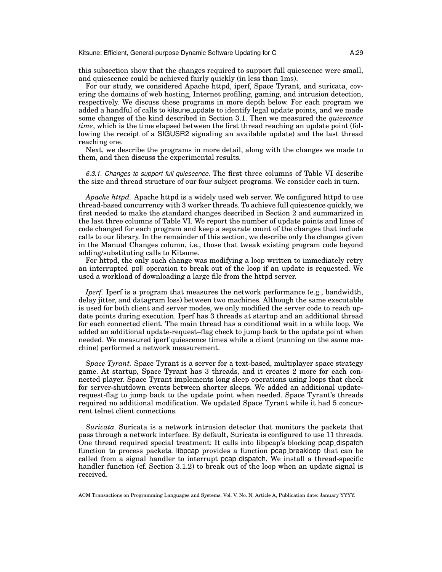this subsection show that the changes required to support full quiescence were small, and quiescence could be achieved fairly quickly (in less than 1ms).

For our study, we considered Apache httpd, iperf, Space Tyrant, and suricata, covering the domains of web hosting, Internet profiling, gaming, and intrusion detection, respectively. We discuss these programs in more depth below. For each program we added a handful of calls to kitsune update to identify legal update points, and we made some changes of the kind described in Section 3.1. Then we measured the *quiescence time*, which is the time elapsed between the first thread reaching an update point (following the receipt of a SIGUSR2 signaling an available update) and the last thread reaching one.

Next, we describe the programs in more detail, along with the changes we made to them, and then discuss the experimental results.

*6.3.1. Changes to support full quiescence.* The first three columns of Table VI describe the size and thread structure of our four subject programs. We consider each in turn.

*Apache httpd.* Apache httpd is a widely used web server. We configured httpd to use thread-based concurrency with 3 worker threads. To achieve full quiescence quickly, we first needed to make the standard changes described in Section 2 and summarized in the last three columns of Table VI. We report the number of update points and lines of code changed for each program and keep a separate count of the changes that include calls to our library. In the remainder of this section, we describe only the changes given in the Manual Changes column, i.e., those that tweak existing program code beyond adding/substituting calls to Kitsune.

For httpd, the only such change was modifying a loop written to immediately retry an interrupted poll operation to break out of the loop if an update is requested. We used a workload of downloading a large file from the httpd server.

*Iperf.* Iperf is a program that measures the network performance (e.g., bandwidth, delay jitter, and datagram loss) between two machines. Although the same executable is used for both client and server modes, we only modified the server code to reach update points during execution. Iperf has 3 threads at startup and an additional thread for each connected client. The main thread has a conditional wait in a while loop. We added an additional update-request–flag check to jump back to the update point when needed. We measured iperf quiescence times while a client (running on the same machine) performed a network measurement.

*Space Tyrant.* Space Tyrant is a server for a text-based, multiplayer space strategy game. At startup, Space Tyrant has 3 threads, and it creates 2 more for each connected player. Space Tyrant implements long sleep operations using loops that check for server-shutdown events between shorter sleeps. We added an additional updaterequest-flag to jump back to the update point when needed. Space Tyrant's threads required no additional modification. We updated Space Tyrant while it had 5 concurrent telnet client connections.

*Suricata.* Suricata is a network intrusion detector that monitors the packets that pass through a network interface. By default, Suricata is configured to use 11 threads. One thread required special treatment: It calls into libpcap's blocking pcap dispatch function to process packets. libpcap provides a function pcap breakloop that can be called from a signal handler to interrupt pcap dispatch. We install a thread-specific handler function (cf. Section 3.1.2) to break out of the loop when an update signal is received.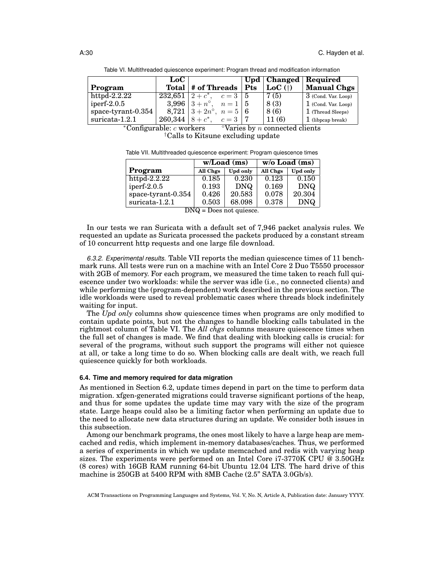|                       | LoC |                                             | Upd Changed | Required              |
|-----------------------|-----|---------------------------------------------|-------------|-----------------------|
| Program               |     | Total $\vert$ # of Threads $\vert$ Pts      | LoC $(+)$   | <b>Manual Chgs</b>    |
| httpd- $2.2.22$       |     | $232,651$   $2+c^*$ , $c=3$   5             | 7(5)        | $3$ (Cond. Var. Loop) |
| iperf- $2.0.5$        |     | $3.996 \mid 3 + n^{\circ}$ , $n = 1 \mid 5$ | 8(3)        | $1$ (Cond. Var. Loop) |
| space-tyrant- $0.354$ |     | 8,721   $3 + 2n^{\circ}$ , $n = 5$   6      | 8 (6)       | $1$ (Thread Sleeps)   |
| suricata-1.2.1        |     | $260,344   8+c^*, c=3   7$                  | 11(6)       | $1$ (libpcap break)   |

Table VI. Multithreaded quiescence experiment: Program thread and modification information

 $*$ Configurable: c workers  $*$   $\overline{\text{Varies by } n}$  connected clients

†Calls to Kitsune excluding update

|  |  | Table VII. Multithreaded quiescence experiment: Program quiescence times |  |  |
|--|--|--------------------------------------------------------------------------|--|--|
|  |  |                                                                          |  |  |

|                               |          | $w/Load$ (ms) | $\overline{w/o}$ Load (ms) |                 |  |
|-------------------------------|----------|---------------|----------------------------|-----------------|--|
| Program                       | All Chgs | Upd only      | All Chgs                   | <b>Upd only</b> |  |
| httpd- $2.2.22$               | 0.185    | 0.230         | 0.123                      | 0.150           |  |
| iperf- $2.0.5$                | 0.193    | <b>DNQ</b>    | 0.169                      | <b>DNQ</b>      |  |
| space-tyrant-0.354            | 0.426    | 20.583        | 0.078                      | 20.304          |  |
| suricata-1.2.1<br><b>DATO</b> | 0.503    | 68.098        | 0.378                      | <b>DNQ</b>      |  |

DNQ = Does not quiesce.

In our tests we ran Suricata with a default set of 7,946 packet analysis rules. We requested an update as Suricata processed the packets produced by a constant stream of 10 concurrent http requests and one large file download.

*6.3.2. Experimental results.* Table VII reports the median quiescence times of 11 benchmark runs. All tests were run on a machine with an Intel Core 2 Duo T5550 processor with 2GB of memory. For each program, we measured the time taken to reach full quiescence under two workloads: while the server was idle (i.e., no connected clients) and while performing the (program-dependent) work described in the previous section. The idle workloads were used to reveal problematic cases where threads block indefinitely waiting for input.

The *Upd only* columns show quiescence times when programs are only modified to contain update points, but not the changes to handle blocking calls tabulated in the rightmost column of Table VI. The *All chgs* columns measure quiescence times when the full set of changes is made. We find that dealing with blocking calls is crucial: for several of the programs, without such support the programs will either not quiesce at all, or take a long time to do so. When blocking calls are dealt with, we reach full quiescence quickly for both workloads.

### **6.4. Time and memory required for data migration**

As mentioned in Section 6.2, update times depend in part on the time to perform data migration. xfgen-generated migrations could traverse significant portions of the heap, and thus for some updates the update time may vary with the size of the program state. Large heaps could also be a limiting factor when performing an update due to the need to allocate new data structures during an update. We consider both issues in this subsection.

Among our benchmark programs, the ones most likely to have a large heap are memcached and redis, which implement in-memory databases/caches. Thus, we performed a series of experiments in which we update memcached and redis with varying heap sizes. The experiments were performed on an Intel Core i7-3770K CPU @ 3.50GHz (8 cores) with 16GB RAM running 64-bit Ubuntu 12.04 LTS. The hard drive of this machine is 250GB at 5400 RPM with 8MB Cache (2.5" SATA 3.0Gb/s).

ACM Transactions on Programming Languages and Systems, Vol. V, No. N, Article A, Publication date: January YYYY.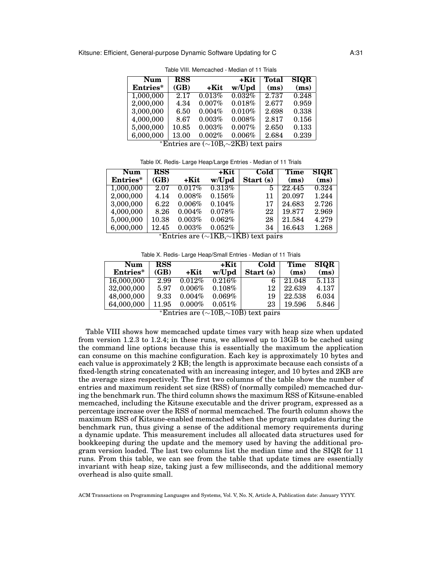| Num       | <b>RSS</b> |        | +Kit                                           | Total | SIQR  |
|-----------|------------|--------|------------------------------------------------|-------|-------|
| Entries*  | (GB)       | +Kit   | w/Upd                                          | (ms)  | (ms)  |
| 1,000,000 | 2.17       | 0.013% | 0.032%                                         | 2.737 | 0.248 |
| 2,000,000 | 4.34       | 0.007% | 0.018%                                         | 2.677 | 0.959 |
| 3,000,000 | 6.50       | 0.004% | 0.010%                                         | 2.698 | 0.338 |
| 4,000,000 | 8.67       | 0.003% | 0.008%                                         | 2.817 | 0.156 |
| 5,000,000 | 10.85      | 0.003% | $0.007\%$                                      | 2.650 | 0.133 |
| 6,000,000 | 13.00      | 0.002% | 0.006%                                         | 2.684 | 0.239 |
|           |            |        | *Entries are $(\sim 10B, \sim 2KB)$ text pairs |       |       |

Table VIII. Memcached - Median of 11 Trials

Table IX. Redis- Large Heap/Large Entries - Median of 11 Trials

| Num       | $_{\rm RSS}$ |        | +Kit   | Cold                                             | Time   | SIQR  |
|-----------|--------------|--------|--------|--------------------------------------------------|--------|-------|
| Entries*  | (GB)         | +Kit   | w/Upd  | Start (s)                                        | (ms)   | (ms)  |
| 1,000,000 | 2.07         | 0.017% | 0.313% | 5                                                | 22.445 | 0.324 |
| 2,000,000 | 4.14         | 0.008% | 0.156% | 11                                               | 20.097 | 1.244 |
| 3,000,000 | 6.22         | 0.006% | 0.104% | 17                                               | 24.683 | 2.726 |
| 4,000,000 | 8.26         | 0.004% | 0.078% | 22                                               | 19.877 | 2.969 |
| 5,000,000 | 10.38        | 0.003% | 0.062% | 28                                               | 21.584 | 4.279 |
| 6,000,000 | 12.45        | 0.003% | 0.052% | 34                                               | 16.643 | 1.268 |
|           |              |        |        | *Entries are $(\sim$ 1KB, $\sim$ 1KB) text pairs |        |       |

Table X. Redis- Large Heap/Small Entries - Median of 11 Trials

| Num        | RSS   |           | +Kit   | Cold      | <b>Time</b> | <b>SIQR</b> |
|------------|-------|-----------|--------|-----------|-------------|-------------|
| Entries*   | (GB)  | +Kit      | w/Upd  | Start (s) | (ms)        | (ms)        |
| 16,000,000 | 2.99  | 0.012%    | 0.216% | 6         | 21.048      | 5.113       |
| 32,000,000 | 5.97  | $0.006\%$ | 0.108% | 12        | 22.639      | 4.137       |
| 48,000,000 | 9.33  | $0.004\%$ | 0.069% | 19        | 22.538      | 6.034       |
| 64,000,000 | 11.95 | $0.000\%$ | 0.051% | 23        | 19.596      | 5.846       |

<sup>∗</sup>Entries are (∼10B,∼10B) text pairs

Table VIII shows how memcached update times vary with heap size when updated from version 1.2.3 to 1.2.4; in these runs, we allowed up to 13GB to be cached using the command line options because this is essentially the maximum the application can consume on this machine configuration. Each key is approximately 10 bytes and each value is approximately 2 KB; the length is approximate because each consists of a fixed-length string concatenated with an increasing integer, and 10 bytes and 2KB are the average sizes respectively. The first two columns of the table show the number of entries and maximum resident set size (RSS) of (normally compiled) memcached during the benchmark run. The third column shows the maximum RSS of Kitsune-enabled memcached, including the Kitsune executable and the driver program, expressed as a percentage increase over the RSS of normal memcached. The fourth column shows the maximum RSS of Kitsune-enabled memcached when the program updates during the benchmark run, thus giving a sense of the additional memory requirements during a dynamic update. This measurement includes all allocated data structures used for bookkeeping during the update and the memory used by having the additional program version loaded. The last two columns list the median time and the SIQR for 11 runs. From this table, we can see from the table that update times are essentially invariant with heap size, taking just a few milliseconds, and the additional memory overhead is also quite small.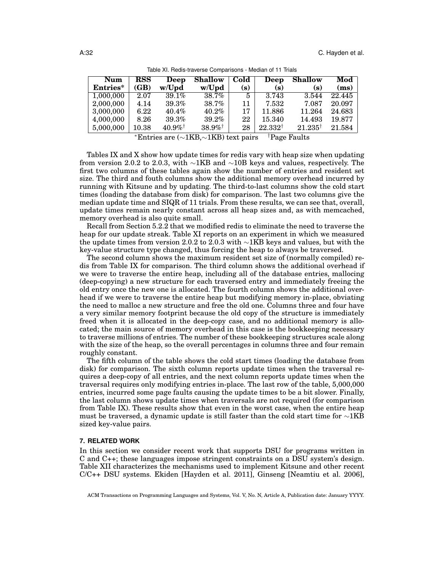| <b>Num</b> | <b>RSS</b> | Deep                  | <b>Shallow</b><br>Cold |     | Deep           | <b>Shallow</b>     | <b>Mod</b> |  |
|------------|------------|-----------------------|------------------------|-----|----------------|--------------------|------------|--|
| Entries*   | (GB)       | w/Upd                 | w/Upd                  | (s) | (s)            | (s)                | (ms)       |  |
| 1,000,000  | 2.07       | $39.1\%$              | 38.7%                  | 5   | 3.743          | 3.544              | 22.445     |  |
| 2,000,000  | 4.14       | 39.3%                 | 38.7%                  | 11  | 7.532          | 7.087              | 20.097     |  |
| 3,000,000  | 6.22       | $40.4\%$              | $40.2\%$               | 17  | 11.886         | 11.264             | 24.683     |  |
| 4,000,000  | 8.26       | 39.3%                 | 39.2%                  | 22  | 15.340         | 14.493             | 19.877     |  |
| 5,000,000  | 10.38      | $40.9\%$ <sup>†</sup> | $38.9\%$ <sup>†</sup>  | 28  | $22.332^+$     | $21.235^{\dagger}$ | 21.584     |  |
|            | $+T$<br>.  |                       | $-$<br>$-1$            |     | $+ \mathbf{m}$ | <b>TIP</b>         |            |  |

Table XI. Redis-traverse Comparisons - Median of 11 Trials

<sup>∗</sup>Entries are (∼1KB,∼1KB) text pairs †Page Faults

Tables IX and X show how update times for redis vary with heap size when updating from version 2.0.2 to 2.0.3, with ∼1KB and ∼10B keys and values, respectively. The first two columns of these tables again show the number of entries and resident set size. The third and fouth columns show the additional memory overhead incurred by running with Kitsune and by updating. The third-to-last columns show the cold start times (loading the database from disk) for comparison. The last two columns give the median update time and SIQR of 11 trials. From these results, we can see that, overall, update times remain nearly constant across all heap sizes and, as with memcached, memory overhead is also quite small.

Recall from Section 5.2.2 that we modified redis to eliminate the need to traverse the heap for our update streak. Table XI reports on an experiment in which we measured the update times from version 2.0.2 to 2.0.3 with ∼1KB keys and values, but with the key-value structure type changed, thus forcing the heap to always be traversed.

The second column shows the maximum resident set size of (normally compiled) redis from Table IX for comparison. The third column shows the additional overhead if we were to traverse the entire heap, including all of the database entries, mallocing (deep-copying) a new structure for each traversed entry and immediately freeing the old entry once the new one is allocated. The fourth column shows the additional overhead if we were to traverse the entire heap but modifying memory in-place, obviating the need to malloc a new structure and free the old one. Columns three and four have a very similar memory footprint because the old copy of the structure is immediately freed when it is allocated in the deep-copy case, and no additional memory is allocated; the main source of memory overhead in this case is the bookkeeping necessary to traverse millions of entries. The number of these bookkeeping structures scale along with the size of the heap, so the overall percentages in columns three and four remain roughly constant.

The fifth column of the table shows the cold start times (loading the database from disk) for comparison. The sixth column reports update times when the traversal requires a deep-copy of all entries, and the next column reports update times when the traversal requires only modifying entries in-place. The last row of the table, 5,000,000 entries, incurred some page faults causing the update times to be a bit slower. Finally, the last column shows update times when traversals are not required (for comparison from Table IX). These results show that even in the worst case, when the entire heap must be traversed, a dynamic update is still faster than the cold start time for  $\sim$ 1KB sized key-value pairs.

## **7. RELATED WORK**

In this section we consider recent work that supports DSU for programs written in C and C++; these languages impose stringent constraints on a DSU system's design. Table XII characterizes the mechanisms used to implement Kitsune and other recent C/C++ DSU systems. Ekiden [Hayden et al. 2011], Ginseng [Neamtiu et al. 2006],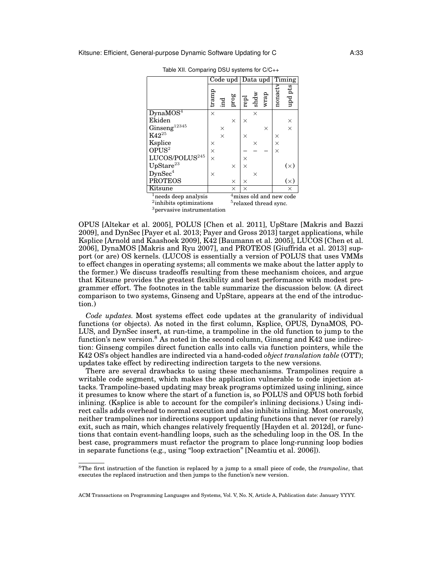|                                     |          |                      |                                   | Code upd Data upd      |          |          | Timing   |            |  |
|-------------------------------------|----------|----------------------|-----------------------------------|------------------------|----------|----------|----------|------------|--|
|                                     | tramp    | $\operatorname{ind}$ | prog                              | repl                   | shdw     | wrap     | nonacty  | upd pts    |  |
| DynaMOS <sup>4</sup>                | $\times$ |                      |                                   |                        | $\times$ |          |          |            |  |
| Ekiden                              |          |                      | $\times$                          | $\times$               |          |          |          | $\times$   |  |
| $\mbox{Ginseng}^{12345}$            |          | X                    |                                   |                        |          | $\times$ |          | $\times$   |  |
| $K42^{25}$                          |          | $\times$             |                                   | $\times$               |          |          | ×        |            |  |
| Ksplice                             | $\times$ |                      |                                   |                        | ×        |          | $\times$ |            |  |
| ${\rm OPUS^2}$                      | $\times$ |                      |                                   |                        |          |          | $\times$ |            |  |
| $\rm LUCOS/POLUS^{245}$             | $\times$ |                      |                                   | $\times$               |          |          |          |            |  |
| $UpState^{23}$                      |          |                      | $\times$                          | $\times$               |          |          |          | $(\times)$ |  |
| DynSec <sup>4</sup>                 | $\times$ |                      |                                   |                        | $\times$ |          |          |            |  |
| <b>PROTEOS</b>                      |          |                      | $\times$                          | ×                      |          |          |          | $(\times)$ |  |
| Kitsune                             |          |                      | $\times$                          | $\times$               |          |          |          | $\times$   |  |
| $\frac{1}{2}$ needs deep analysis   |          |                      |                                   | mixes old and new code |          |          |          |            |  |
| <sup>2</sup> inhibits optimizations |          |                      | <sup>5</sup> relaxed thread sync. |                        |          |          |          |            |  |

Table XII. Comparing DSU systems for C/C++

2 inhibits optimizations

<sup>3</sup>pervasive instrumentation

OPUS [Altekar et al. 2005], POLUS [Chen et al. 2011], UpStare [Makris and Bazzi 2009], and DynSec [Payer et al. 2013; Payer and Gross 2013] target applications, while Ksplice [Arnold and Kaashoek 2009], K42 [Baumann et al. 2005], LUCOS [Chen et al. 2006], DynaMOS [Makris and Ryu 2007], and PROTEOS [Giuffrida et al. 2013] support (or are) OS kernels. (LUCOS is essentially a version of POLUS that uses VMMs to effect changes in operating systems; all comments we make about the latter apply to the former.) We discuss tradeoffs resulting from these mechanism choices, and argue that Kitsune provides the greatest flexibility and best performance with modest programmer effort. The footnotes in the table summarize the discussion below. (A direct comparison to two systems, Ginseng and UpStare, appears at the end of the introduction.)

*Code updates.* Most systems effect code updates at the granularity of individual functions (or objects). As noted in the first column, Ksplice, OPUS, DynaMOS, PO-LUS, and DynSec insert, at run-time, a trampoline in the old function to jump to the function's new version.<sup>8</sup> As noted in the second column, Ginseng and K42 use indirection: Ginseng compiles direct function calls into calls via function pointers, while the K42 OS's object handles are indirected via a hand-coded *object translation table* (OTT); updates take effect by redirecting indirection targets to the new versions.

There are several drawbacks to using these mechanisms. Trampolines require a writable code segment, which makes the application vulnerable to code injection attacks. Trampoline-based updating may break programs optimized using inlining, since it presumes to know where the start of a function is, so POLUS and OPUS both forbid inlining. (Ksplice is able to account for the compiler's inlining decisions.) Using indirect calls adds overhead to normal execution and also inhibits inlining. Most onerously, neither trampolines nor indirections support updating functions that never (or rarely) exit, such as main, which changes relatively frequently [Hayden et al. 2012d], or functions that contain event-handling loops, such as the scheduling loop in the OS. In the best case, programmers must refactor the program to place long-running loop bodies in separate functions (e.g., using "loop extraction" [Neamtiu et al. 2006]).

<sup>8</sup>The first instruction of the function is replaced by a jump to a small piece of code, the *trampoline*, that executes the replaced instruction and then jumps to the function's new version.

ACM Transactions on Programming Languages and Systems, Vol. V, No. N, Article A, Publication date: January YYYY.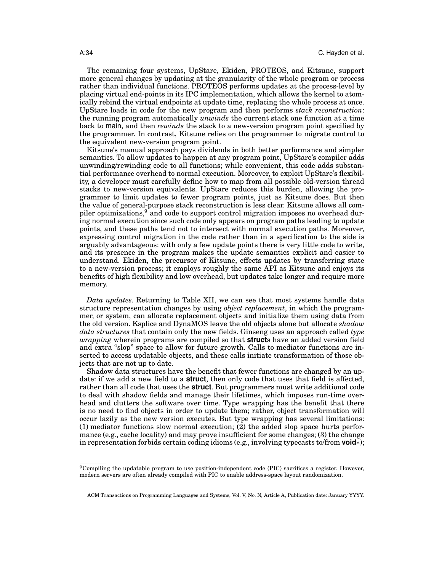The remaining four systems, UpStare, Ekiden, PROTEOS, and Kitsune, support more general changes by updating at the granularity of the whole program or process rather than individual functions. PROTEOS performs updates at the process-level by placing virtual end-points in its IPC implementation, which allows the kernel to atomically rebind the virtual endpoints at update time, replacing the whole process at once. UpStare loads in code for the new program and then performs *stack reconstruction*: the running program automatically *unwinds* the current stack one function at a time back to main, and then *rewinds* the stack to a new-version program point specified by the programmer. In contrast, Kitsune relies on the programmer to migrate control to the equivalent new-version program point.

Kitsune's manual approach pays dividends in both better performance and simpler semantics. To allow updates to happen at any program point, UpStare's compiler adds unwinding/rewinding code to all functions; while convenient, this code adds substantial performance overhead to normal execution. Moreover, to exploit UpStare's flexibility, a developer must carefully define how to map from all possible old-version thread stacks to new-version equivalents. UpStare reduces this burden, allowing the programmer to limit updates to fewer program points, just as Kitsune does. But then the value of general-purpose stack reconstruction is less clear. Kitsune allows all compiler optimizations,<sup>9</sup> and code to support control migration imposes no overhead during normal execution since such code only appears on program paths leading to update points, and these paths tend not to intersect with normal execution paths. Moreover, expressing control migration in the code rather than in a specification to the side is arguably advantageous: with only a few update points there is very little code to write, and its presence in the program makes the update semantics explicit and easier to understand. Ekiden, the precursor of Kitsune, effects updates by transferring state to a new-version process; it employs roughly the same API as Kitsune and enjoys its benefits of high flexibility and low overhead, but updates take longer and require more memory.

*Data updates.* Returning to Table XII, we can see that most systems handle data structure representation changes by using *object replacement*, in which the programmer, or system, can allocate replacement objects and initialize them using data from the old version. Ksplice and DynaMOS leave the old objects alone but allocate *shadow data structures* that contain only the new fields. Ginseng uses an approach called *type wrapping* wherein programs are compiled so that **struct**s have an added version field and extra "slop" space to allow for future growth. Calls to mediator functions are inserted to access updatable objects, and these calls initiate transformation of those objects that are not up to date.

Shadow data structures have the benefit that fewer functions are changed by an update: if we add a new field to a **struct**, then only code that uses that field is affected, rather than all code that uses the **struct**. But programmers must write additional code to deal with shadow fields and manage their lifetimes, which imposes run-time overhead and clutters the software over time. Type wrapping has the benefit that there is no need to find objects in order to update them; rather, object transformation will occur lazily as the new version executes. But type wrapping has several limitations: (1) mediator functions slow normal execution; (2) the added slop space hurts performance (e.g., cache locality) and may prove insufficient for some changes; (3) the change in representation forbids certain coding idioms (e.g., involving typecasts to/from **void**∗);

 $9$ Compiling the updatable program to use position-independent code (PIC) sacrifices a register. However, modern servers are often already compiled with PIC to enable address-space layout randomization.

ACM Transactions on Programming Languages and Systems, Vol. V, No. N, Article A, Publication date: January YYYY.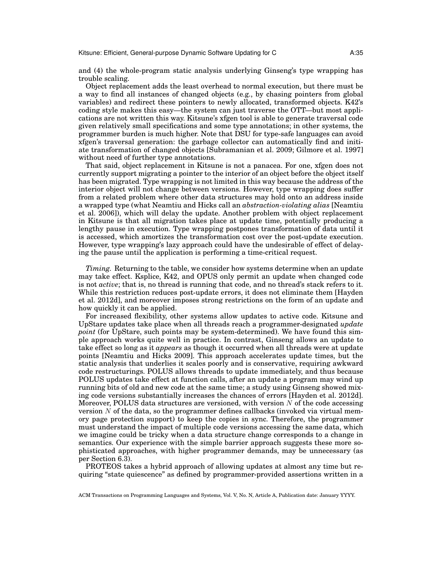and (4) the whole-program static analysis underlying Ginseng's type wrapping has trouble scaling.

Object replacement adds the least overhead to normal execution, but there must be a way to find all instances of changed objects (e.g., by chasing pointers from global variables) and redirect these pointers to newly allocated, transformed objects. K42's coding style makes this easy—the system can just traverse the OTT—but most applications are not written this way. Kitsune's xfgen tool is able to generate traversal code given relatively small specifications and some type annotations; in other systems, the programmer burden is much higher. Note that DSU for type-safe languages can avoid xfgen's traversal generation: the garbage collector can automatically find and initiate transformation of changed objects [Subramanian et al. 2009; Gilmore et al. 1997] without need of further type annotations.

That said, object replacement in Kitsune is not a panacea. For one, xfgen does not currently support migrating a pointer to the interior of an object before the object itself has been migrated. Type wrapping is not limited in this way because the address of the interior object will not change between versions. However, type wrapping does suffer from a related problem where other data structures may hold onto an address inside a wrapped type (what Neamtiu and Hicks call an *abstraction-violating alias* [Neamtiu et al. 2006]), which will delay the update. Another problem with object replacement in Kitsune is that all migration takes place at update time, potentially producing a lengthy pause in execution. Type wrapping postpones transformation of data until it is accessed, which amortizes the transformation cost over the post-update execution. However, type wrapping's lazy approach could have the undesirable of effect of delaying the pause until the application is performing a time-critical request.

*Timing.* Returning to the table, we consider how systems determine when an update may take effect. Ksplice, K42, and OPUS only permit an update when changed code is not *active*; that is, no thread is running that code, and no thread's stack refers to it. While this restriction reduces post-update errors, it does not eliminate them [Hayden et al. 2012d], and moreover imposes strong restrictions on the form of an update and how quickly it can be applied.

For increased flexibility, other systems allow updates to active code. Kitsune and UpStare updates take place when all threads reach a programmer-designated *update point* (for UpStare, such points may be system-determined). We have found this simple approach works quite well in practice. In contrast, Ginseng allows an update to take effect so long as it *appears* as though it occurred when all threads were at update points [Neamtiu and Hicks 2009]. This approach accelerates update times, but the static analysis that underlies it scales poorly and is conservative, requiring awkward code restructurings. POLUS allows threads to update immediately, and thus because POLUS updates take effect at function calls, after an update a program may wind up running bits of old and new code at the same time; a study using Ginseng showed mixing code versions substantially increases the chances of errors [Hayden et al. 2012d]. Moreover, POLUS data structures are versioned, with version  $N$  of the code accessing version  $N$  of the data, so the programmer defines callbacks (invoked via virtual memory page protection support) to keep the copies in sync. Therefore, the programmer must understand the impact of multiple code versions accessing the same data, which we imagine could be tricky when a data structure change corresponds to a change in semantics. Our experience with the simple barrier approach suggests these more sophisticated approaches, with higher programmer demands, may be unnecessary (as per Section 6.3).

PROTEOS takes a hybrid approach of allowing updates at almost any time but requiring "state quiescence" as defined by programmer-provided assertions written in a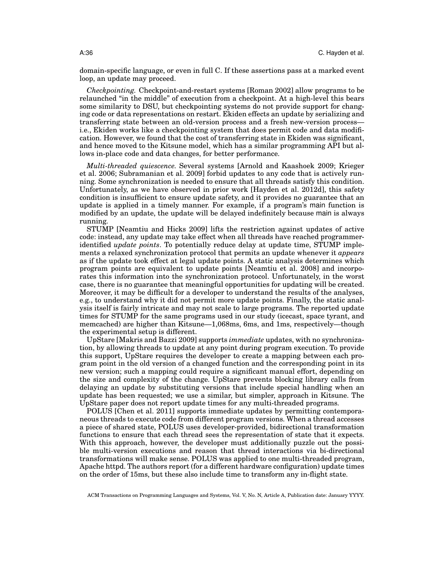domain-specific language, or even in full C. If these assertions pass at a marked event loop, an update may proceed.

*Checkpointing.* Checkpoint-and-restart systems [Roman 2002] allow programs to be relaunched "in the middle" of execution from a checkpoint. At a high-level this bears some similarity to DSU, but checkpointing systems do not provide support for changing code or data representations on restart. Ekiden effects an update by serializing and transferring state between an old-version process and a fresh new-version process i.e., Ekiden works like a checkpointing system that does permit code and data modification. However, we found that the cost of transferring state in Ekiden was significant, and hence moved to the Kitsune model, which has a similar programming API but allows in-place code and data changes, for better performance.

*Multi-threaded quiescence.* Several systems [Arnold and Kaashoek 2009; Krieger et al. 2006; Subramanian et al. 2009] forbid updates to any code that is actively running. Some synchronization is needed to ensure that all threads satisfy this condition. Unfortunately, as we have observed in prior work [Hayden et al. 2012d], this safety condition is insufficient to ensure update safety, and it provides no guarantee that an update is applied in a timely manner. For example, if a program's main function is modified by an update, the update will be delayed indefinitely because main is always running.

STUMP [Neamtiu and Hicks 2009] lifts the restriction against updates of active code: instead, any update may take effect when all threads have reached programmeridentified *update points*. To potentially reduce delay at update time, STUMP implements a relaxed synchronization protocol that permits an update whenever it *appears* as if the update took effect at legal update points. A static analysis determines which program points are equivalent to update points [Neamtiu et al. 2008] and incorporates this information into the synchronization protocol. Unfortunately, in the worst case, there is no guarantee that meaningful opportunities for updating will be created. Moreover, it may be difficult for a developer to understand the results of the analyses, e.g., to understand why it did not permit more update points. Finally, the static analysis itself is fairly intricate and may not scale to large programs. The reported update times for STUMP for the same programs used in our study (icecast, space tyrant, and memcached) are higher than Kitsune—1,068ms, 6ms, and 1ms, respectively—though the experimental setup is different.

UpStare [Makris and Bazzi 2009] supports *immediate* updates, with no synchronization, by allowing threads to update at any point during program execution. To provide this support, UpStare requires the developer to create a mapping between each program point in the old version of a changed function and the corresponding point in its new version; such a mapping could require a significant manual effort, depending on the size and complexity of the change. UpStare prevents blocking library calls from delaying an update by substituting versions that include special handling when an update has been requested; we use a similar, but simpler, approach in Kitsune. The UpStare paper does not report update times for any multi-threaded programs.

POLUS [Chen et al. 2011] supports immediate updates by permitting contemporaneous threads to execute code from different program versions. When a thread accesses a piece of shared state, POLUS uses developer-provided, bidirectional transformation functions to ensure that each thread sees the representation of state that it expects. With this approach, however, the developer must additionally puzzle out the possible multi-version executions and reason that thread interactions via bi-directional transformations will make sense. POLUS was applied to one multi-threaded program, Apache httpd. The authors report (for a different hardware configuration) update times on the order of 15ms, but these also include time to transform any in-flight state.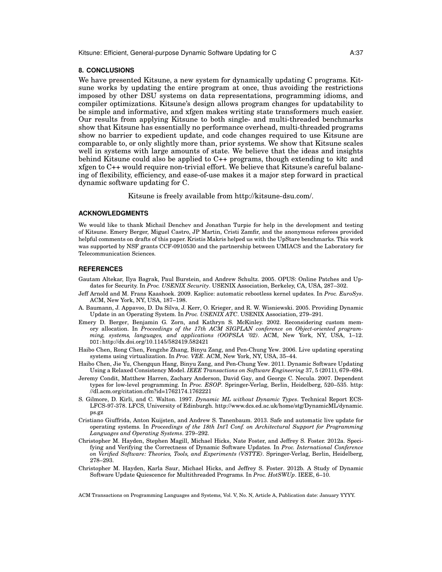### **8. CONCLUSIONS**

We have presented Kitsune, a new system for dynamically updating C programs. Kitsune works by updating the entire program at once, thus avoiding the restrictions imposed by other DSU systems on data representations, programming idioms, and compiler optimizations. Kitsune's design allows program changes for updatability to be simple and informative, and xfgen makes writing state transformers much easier. Our results from applying Kitsune to both single- and multi-threaded benchmarks show that Kitsune has essentially no performance overhead, multi-threaded programs show no barrier to expedient update, and code changes required to use Kitsune are comparable to, or only slightly more than, prior systems. We show that Kitsune scales well in systems with large amounts of state. We believe that the ideas and insights behind Kitsune could also be applied to C++ programs, though extending to kitc and xfgen to C++ would require non-trivial effort. We believe that Kitsune's careful balancing of flexibility, efficiency, and ease-of-use makes it a major step forward in practical dynamic software updating for C.

Kitsune is freely available from http://kitsune-dsu.com/.

#### **ACKNOWLEDGMENTS**

We would like to thank Michail Denchev and Jonathan Turpie for help in the development and testing of Kitsune. Emery Berger, Miguel Castro, JP Martin, Cristi Zamfir, and the anonymous referees provided helpful comments on drafts of this paper. Kristis Makris helped us with the UpStare benchmarks. This work was supported by NSF grants CCF-0910530 and the partnership between UMIACS and the Laboratory for Telecommunication Sciences.

### **REFERENCES**

- Gautam Altekar, Ilya Bagrak, Paul Burstein, and Andrew Schultz. 2005. OPUS: Online Patches and Updates for Security. In *Proc. USENIX Security*. USENIX Association, Berkeley, CA, USA, 287–302.
- Jeff Arnold and M. Frans Kaashoek. 2009. Ksplice: automatic rebootless kernel updates. In *Proc. EuroSys*. ACM, New York, NY, USA, 187–198.
- A. Baumann, J. Appavoo, D. Da Silva, J. Kerr, O. Krieger, and R. W. Wisniewski. 2005. Providing Dynamic Update in an Operating System. In *Proc. USENIX ATC*. USENIX Association, 279–291.
- Emery D. Berger, Benjamin G. Zorn, and Kathryn S. McKinley. 2002. Reconsidering custom memory allocation. In *Proceedings of the 17th ACM SIGPLAN conference on Object-oriented programming, systems, languages, and applications (OOPSLA '02)*. ACM, New York, NY, USA, 1–12. DOI:http://dx.doi.org/10.1145/582419.582421
- Haibo Chen, Rong Chen, Fengzhe Zhang, Binyu Zang, and Pen-Chung Yew. 2006. Live updating operating systems using virtualization. In *Proc. VEE*. ACM, New York, NY, USA, 35–44.
- Haibo Chen, Jie Yu, Chengqun Hang, Binyu Zang, and Pen-Chung Yew. 2011. Dynamic Software Updating Using a Relaxed Consistency Model. *IEEE Transactions on Software Engineering* 37, 5 (2011), 679–694.
- Jeremy Condit, Matthew Harren, Zachary Anderson, David Gay, and George C. Necula. 2007. Dependent types for low-level programming. In *Proc. ESOP*. Springer-Verlag, Berlin, Heidelberg, 520–535. http: //dl.acm.org/citation.cfm?id=1762174.1762221
- S. Gilmore, D. Kirli, and C. Walton. 1997. *Dynamic ML without Dynamic Types*. Technical Report ECS-LFCS-97-378. LFCS, University of Edinburgh. http://www.dcs.ed.ac.uk/home/stg/DynamicML/dynamic. ps.gz
- Cristiano Giuffrida, Anton Kuijsten, and Andrew S. Tanenbaum. 2013. Safe and automatic live update for operating systems. In *Proceedings of the 18th Int'l Conf. on Architectural Support for Programming Languages and Operating Systems*. 279–292.
- Christopher M. Hayden, Stephen Magill, Michael Hicks, Nate Foster, and Jeffrey S. Foster. 2012a. Specifying and Verifying the Correctness of Dynamic Software Updates. In *Proc. International Conference on Verified Software: Theories, Tools, and Experiments (VSTTE)*. Springer-Verlag, Berlin, Heidelberg, 278–293.
- Christopher M. Hayden, Karla Saur, Michael Hicks, and Jeffrey S. Foster. 2012b. A Study of Dynamic Software Update Quiescence for Multithreaded Programs. In *Proc. HotSWUp*. IEEE, 6–10.